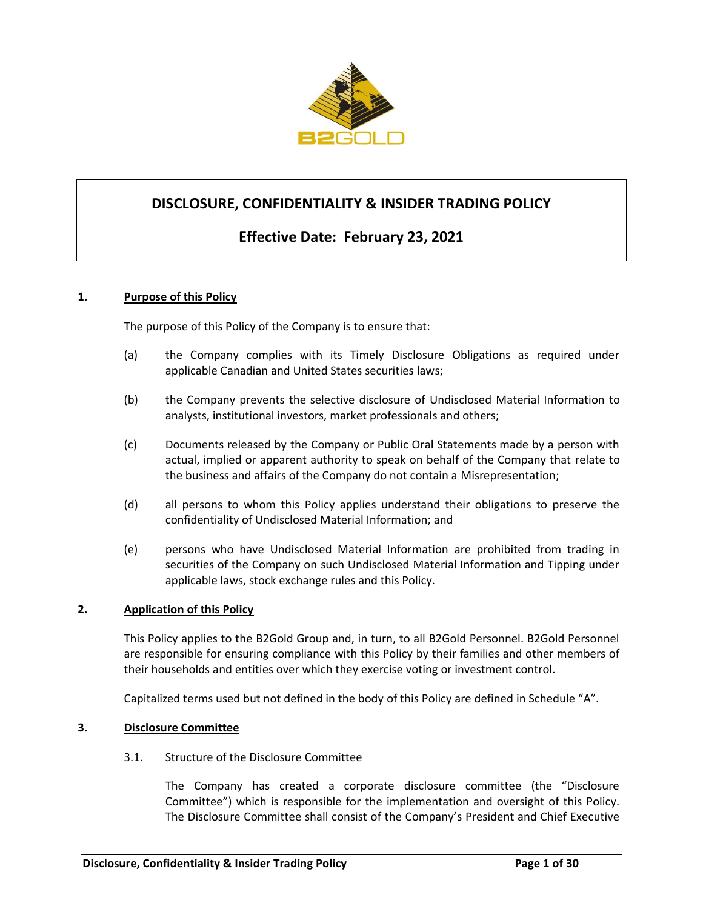

## **DISCLOSURE, CONFIDENTIALITY & INSIDER TRADING POLICY**

# **Effective Date: February 23, 2021**

#### **1. Purpose of this Policy**

The purpose of this Policy of the Company is to ensure that:

- (a) the Company complies with its Timely Disclosure Obligations as required under applicable Canadian and United States securities laws;
- (b) the Company prevents the selective disclosure of Undisclosed Material Information to analysts, institutional investors, market professionals and others;
- (c) Documents released by the Company or Public Oral Statements made by a person with actual, implied or apparent authority to speak on behalf of the Company that relate to the business and affairs of the Company do not contain a Misrepresentation;
- (d) all persons to whom this Policy applies understand their obligations to preserve the confidentiality of Undisclosed Material Information; and
- (e) persons who have Undisclosed Material Information are prohibited from trading in securities of the Company on such Undisclosed Material Information and Tipping under applicable laws, stock exchange rules and this Policy.

#### **2. Application of this Policy**

This Policy applies to the B2Gold Group and, in turn, to all B2Gold Personnel. B2Gold Personnel are responsible for ensuring compliance with this Policy by their families and other members of their households and entities over which they exercise voting or investment control.

Capitalized terms used but not defined in the body of this Policy are defined in Schedule "A".

#### **3. Disclosure Committee**

3.1. Structure of the Disclosure Committee

The Company has created a corporate disclosure committee (the "Disclosure Committee") which is responsible for the implementation and oversight of this Policy. The Disclosure Committee shall consist of the Company's President and Chief Executive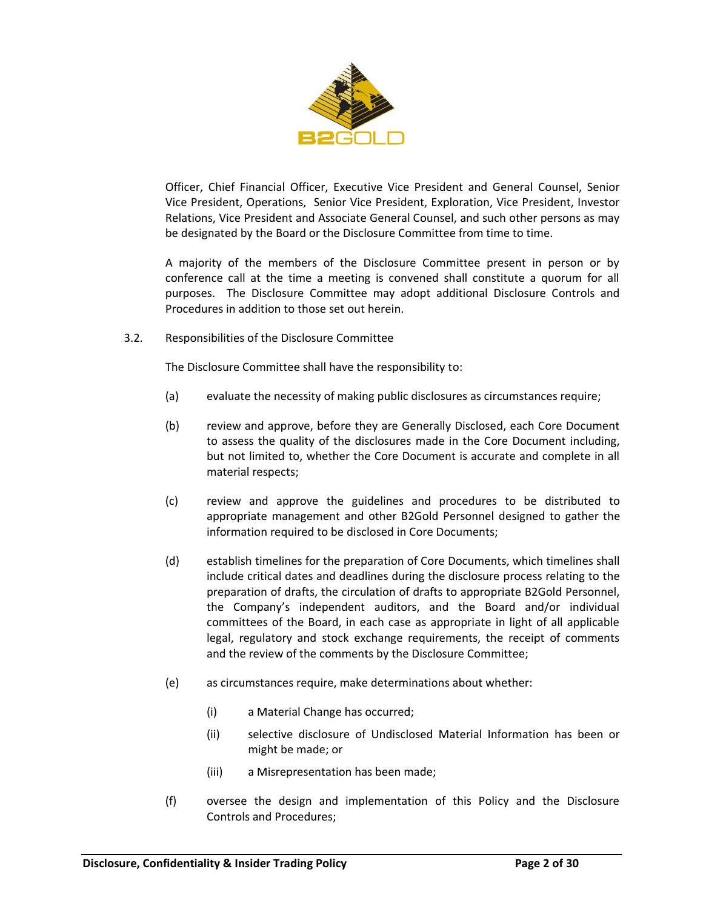

Officer, Chief Financial Officer, Executive Vice President and General Counsel, Senior Vice President, Operations, Senior Vice President, Exploration, Vice President, Investor Relations, Vice President and Associate General Counsel, and such other persons as may be designated by the Board or the Disclosure Committee from time to time.

A majority of the members of the Disclosure Committee present in person or by conference call at the time a meeting is convened shall constitute a quorum for all purposes. The Disclosure Committee may adopt additional Disclosure Controls and Procedures in addition to those set out herein.

3.2. Responsibilities of the Disclosure Committee

The Disclosure Committee shall have the responsibility to:

- (a) evaluate the necessity of making public disclosures as circumstances require;
- (b) review and approve, before they are Generally Disclosed, each Core Document to assess the quality of the disclosures made in the Core Document including, but not limited to, whether the Core Document is accurate and complete in all material respects;
- (c) review and approve the guidelines and procedures to be distributed to appropriate management and other B2Gold Personnel designed to gather the information required to be disclosed in Core Documents;
- (d) establish timelines for the preparation of Core Documents, which timelines shall include critical dates and deadlines during the disclosure process relating to the preparation of drafts, the circulation of drafts to appropriate B2Gold Personnel, the Company's independent auditors, and the Board and/or individual committees of the Board, in each case as appropriate in light of all applicable legal, regulatory and stock exchange requirements, the receipt of comments and the review of the comments by the Disclosure Committee;
- (e) as circumstances require, make determinations about whether:
	- (i) a Material Change has occurred;
	- (ii) selective disclosure of Undisclosed Material Information has been or might be made; or
	- (iii) a Misrepresentation has been made;
- (f) oversee the design and implementation of this Policy and the Disclosure Controls and Procedures;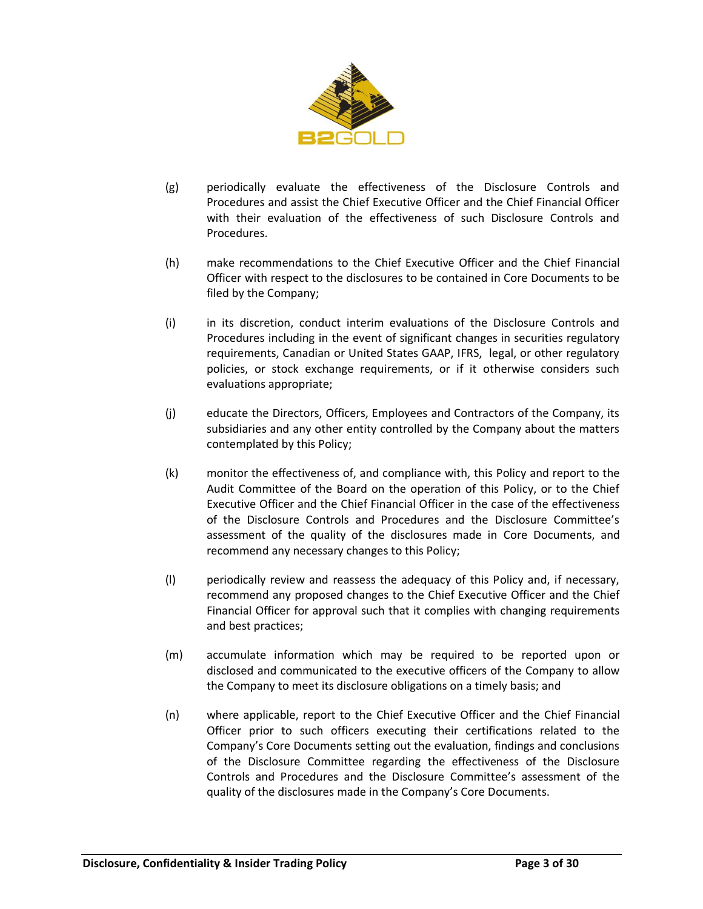

- (g) periodically evaluate the effectiveness of the Disclosure Controls and Procedures and assist the Chief Executive Officer and the Chief Financial Officer with their evaluation of the effectiveness of such Disclosure Controls and Procedures.
- (h) make recommendations to the Chief Executive Officer and the Chief Financial Officer with respect to the disclosures to be contained in Core Documents to be filed by the Company;
- (i) in its discretion, conduct interim evaluations of the Disclosure Controls and Procedures including in the event of significant changes in securities regulatory requirements, Canadian or United States GAAP, IFRS, legal, or other regulatory policies, or stock exchange requirements, or if it otherwise considers such evaluations appropriate;
- (j) educate the Directors, Officers, Employees and Contractors of the Company, its subsidiaries and any other entity controlled by the Company about the matters contemplated by this Policy;
- (k) monitor the effectiveness of, and compliance with, this Policy and report to the Audit Committee of the Board on the operation of this Policy, or to the Chief Executive Officer and the Chief Financial Officer in the case of the effectiveness of the Disclosure Controls and Procedures and the Disclosure Committee's assessment of the quality of the disclosures made in Core Documents, and recommend any necessary changes to this Policy;
- (l) periodically review and reassess the adequacy of this Policy and, if necessary, recommend any proposed changes to the Chief Executive Officer and the Chief Financial Officer for approval such that it complies with changing requirements and best practices;
- (m) accumulate information which may be required to be reported upon or disclosed and communicated to the executive officers of the Company to allow the Company to meet its disclosure obligations on a timely basis; and
- (n) where applicable, report to the Chief Executive Officer and the Chief Financial Officer prior to such officers executing their certifications related to the Company's Core Documents setting out the evaluation, findings and conclusions of the Disclosure Committee regarding the effectiveness of the Disclosure Controls and Procedures and the Disclosure Committee's assessment of the quality of the disclosures made in the Company's Core Documents.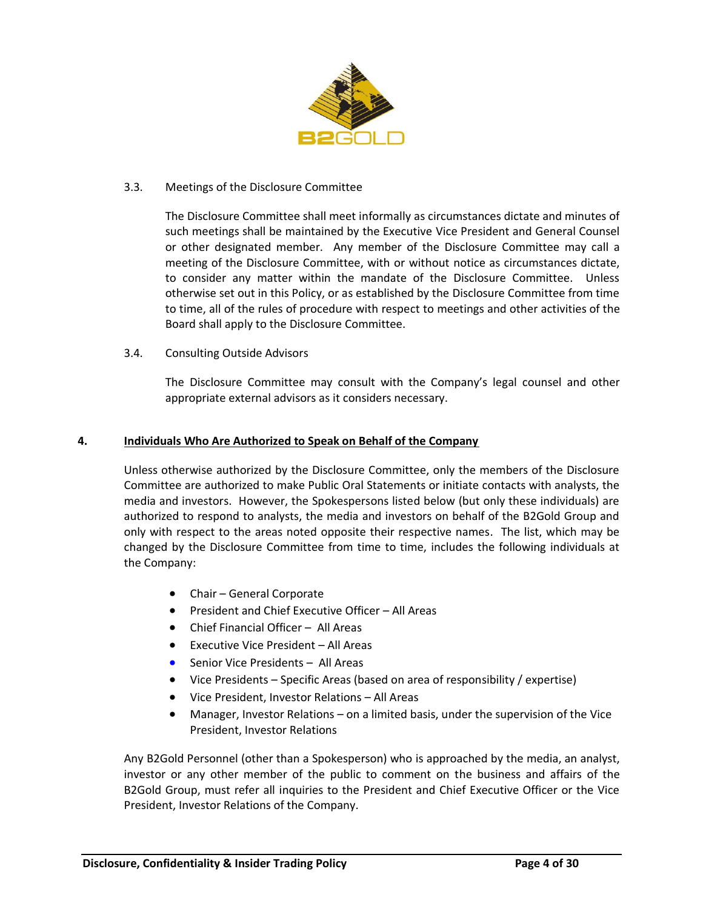

## 3.3. Meetings of the Disclosure Committee

The Disclosure Committee shall meet informally as circumstances dictate and minutes of such meetings shall be maintained by the Executive Vice President and General Counsel or other designated member. Any member of the Disclosure Committee may call a meeting of the Disclosure Committee, with or without notice as circumstances dictate, to consider any matter within the mandate of the Disclosure Committee. Unless otherwise set out in this Policy, or as established by the Disclosure Committee from time to time, all of the rules of procedure with respect to meetings and other activities of the Board shall apply to the Disclosure Committee.

3.4. Consulting Outside Advisors

The Disclosure Committee may consult with the Company's legal counsel and other appropriate external advisors as it considers necessary.

#### **4. Individuals Who Are Authorized to Speak on Behalf of the Company**

Unless otherwise authorized by the Disclosure Committee, only the members of the Disclosure Committee are authorized to make Public Oral Statements or initiate contacts with analysts, the media and investors. However, the Spokespersons listed below (but only these individuals) are authorized to respond to analysts, the media and investors on behalf of the B2Gold Group and only with respect to the areas noted opposite their respective names. The list, which may be changed by the Disclosure Committee from time to time, includes the following individuals at the Company:

- Chair General Corporate
- President and Chief Executive Officer All Areas
- Chief Financial Officer All Areas
- Executive Vice President All Areas
- Senior Vice Presidents All Areas
- Vice Presidents Specific Areas (based on area of responsibility / expertise)
- Vice President, Investor Relations All Areas
- Manager, Investor Relations on a limited basis, under the supervision of the Vice President, Investor Relations

Any B2Gold Personnel (other than a Spokesperson) who is approached by the media, an analyst, investor or any other member of the public to comment on the business and affairs of the B2Gold Group, must refer all inquiries to the President and Chief Executive Officer or the Vice President, Investor Relations of the Company.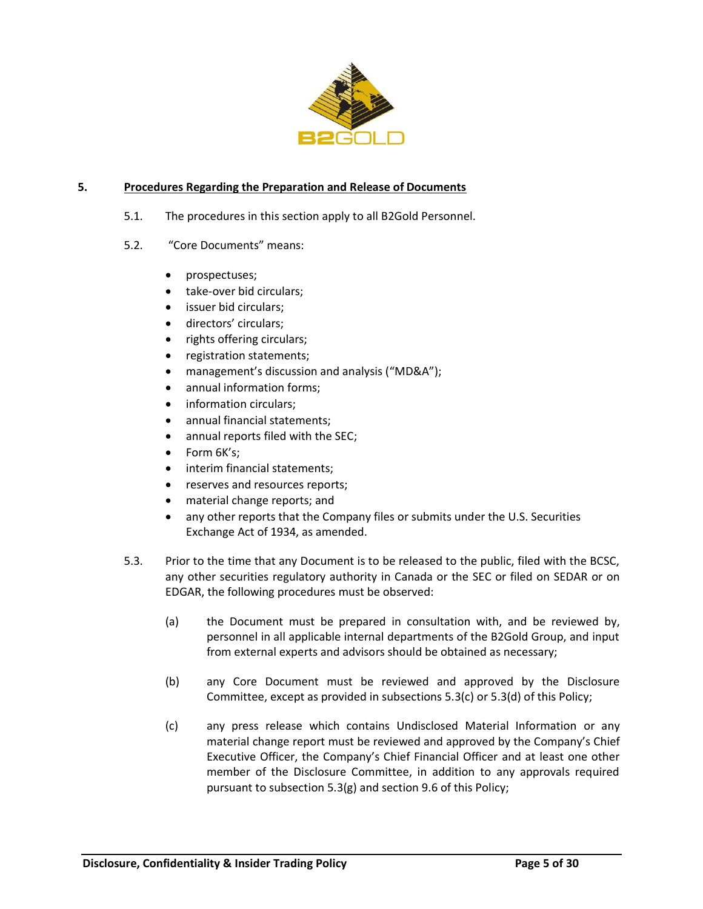

## **5. Procedures Regarding the Preparation and Release of Documents**

- 5.1. The procedures in this section apply to all B2Gold Personnel.
- <span id="page-4-2"></span>5.2. "Core Documents" means:
	- prospectuses;
	- take-over bid circulars;
	- issuer bid circulars;
	- directors' circulars;
	- rights offering circulars;
	- registration statements;
	- management's discussion and analysis ("MD&A");
	- annual information forms:
	- information circulars;
	- annual financial statements;
	- annual reports filed with the SEC;
	- Form 6K's:
	- interim financial statements;
	- reserves and resources reports;
	- material change reports; and
	- any other reports that the Company files or submits under the U.S. Securities Exchange Act of 1934, as amended.
- <span id="page-4-1"></span><span id="page-4-0"></span>5.3. Prior to the time that any Document is to be released to the public, filed with the BCSC, any other securities regulatory authority in Canada or the SEC or filed on SEDAR or on EDGAR, the following procedures must be observed:
	- (a) the Document must be prepared in consultation with, and be reviewed by, personnel in all applicable internal departments of the B2Gold Group, and input from external experts and advisors should be obtained as necessary;
	- (b) any Core Document must be reviewed and approved by the Disclosure Committee, except as provided in subsections [5.3](#page-4-0)[\(c\)](#page-4-1) o[r 5.3](#page-4-0)[\(d\)](#page-5-0) of this Policy;
	- (c) any press release which contains Undisclosed Material Information or any material change report must be reviewed and approved by the Company's Chief Executive Officer, the Company's Chief Financial Officer and at least one other member of the Disclosure Committee, in addition to any approvals required pursuant to subsection [5.3](#page-4-0)[\(g\)](#page-5-1) and section [9.6](#page-11-0) of this Policy;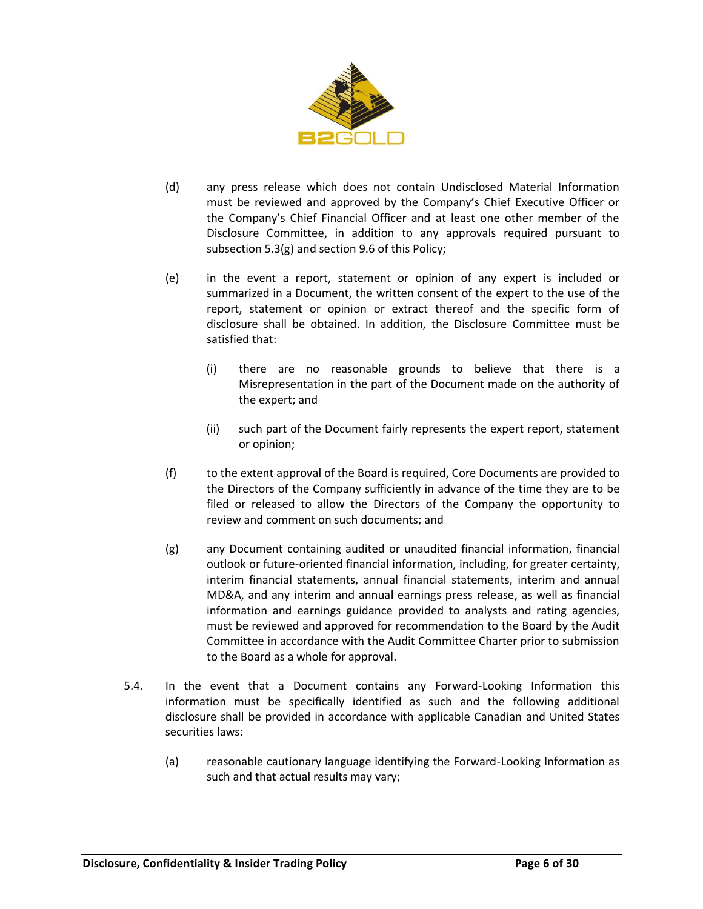

- <span id="page-5-0"></span>(d) any press release which does not contain Undisclosed Material Information must be reviewed and approved by the Company's Chief Executive Officer or the Company's Chief Financial Officer and at least one other member of the Disclosure Committee, in addition to any approvals required pursuant to subsectio[n 5.3](#page-4-0)[\(g\)](#page-5-1) and section [9.6](#page-11-0) of this Policy;
- (e) in the event a report, statement or opinion of any expert is included or summarized in a Document, the written consent of the expert to the use of the report, statement or opinion or extract thereof and the specific form of disclosure shall be obtained. In addition, the Disclosure Committee must be satisfied that:
	- (i) there are no reasonable grounds to believe that there is a Misrepresentation in the part of the Document made on the authority of the expert; and
	- (ii) such part of the Document fairly represents the expert report, statement or opinion;
- (f) to the extent approval of the Board is required, Core Documents are provided to the Directors of the Company sufficiently in advance of the time they are to be filed or released to allow the Directors of the Company the opportunity to review and comment on such documents; and
- <span id="page-5-1"></span>(g) any Document containing audited or unaudited financial information, financial outlook or future-oriented financial information, including, for greater certainty, interim financial statements, annual financial statements, interim and annual MD&A, and any interim and annual earnings press release, as well as financial information and earnings guidance provided to analysts and rating agencies, must be reviewed and approved for recommendation to the Board by the Audit Committee in accordance with the Audit Committee Charter prior to submission to the Board as a whole for approval.
- 5.4. In the event that a Document contains any Forward-Looking Information this information must be specifically identified as such and the following additional disclosure shall be provided in accordance with applicable Canadian and United States securities laws:
	- (a) reasonable cautionary language identifying the Forward-Looking Information as such and that actual results may vary;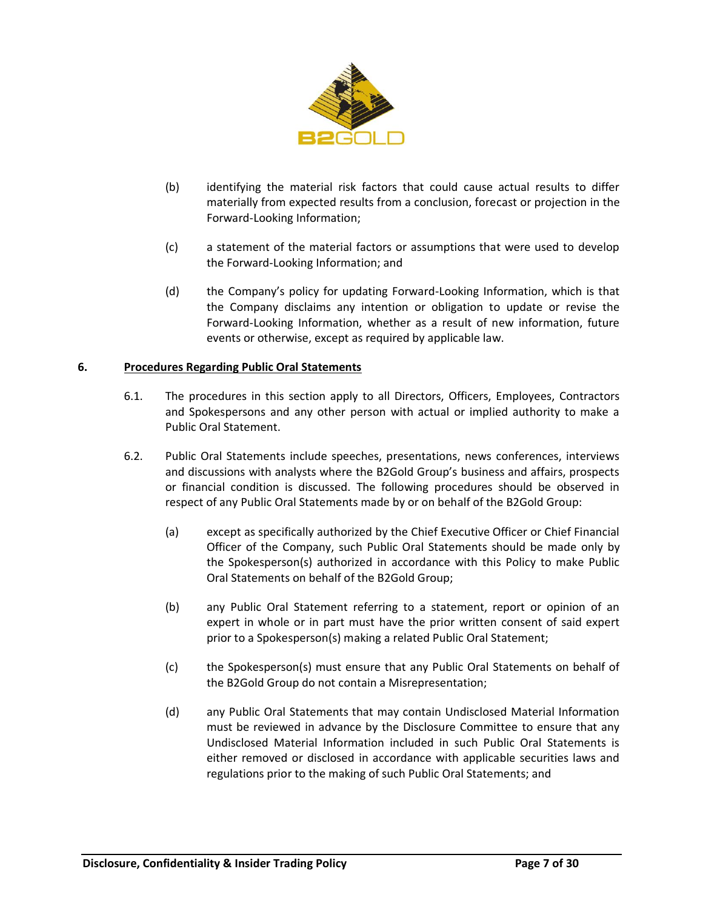

- (b) identifying the material risk factors that could cause actual results to differ materially from expected results from a conclusion, forecast or projection in the Forward-Looking Information;
- (c) a statement of the material factors or assumptions that were used to develop the Forward-Looking Information; and
- (d) the Company's policy for updating Forward-Looking Information, which is that the Company disclaims any intention or obligation to update or revise the Forward-Looking Information, whether as a result of new information, future events or otherwise, except as required by applicable law.

#### **6. Procedures Regarding Public Oral Statements**

- 6.1. The procedures in this section apply to all Directors, Officers, Employees, Contractors and Spokespersons and any other person with actual or implied authority to make a Public Oral Statement.
- 6.2. Public Oral Statements include speeches, presentations, news conferences, interviews and discussions with analysts where the B2Gold Group's business and affairs, prospects or financial condition is discussed. The following procedures should be observed in respect of any Public Oral Statements made by or on behalf of the B2Gold Group:
	- (a) except as specifically authorized by the Chief Executive Officer or Chief Financial Officer of the Company, such Public Oral Statements should be made only by the Spokesperson(s) authorized in accordance with this Policy to make Public Oral Statements on behalf of the B2Gold Group;
	- (b) any Public Oral Statement referring to a statement, report or opinion of an expert in whole or in part must have the prior written consent of said expert prior to a Spokesperson(s) making a related Public Oral Statement;
	- (c) the Spokesperson(s) must ensure that any Public Oral Statements on behalf of the B2Gold Group do not contain a Misrepresentation;
	- (d) any Public Oral Statements that may contain Undisclosed Material Information must be reviewed in advance by the Disclosure Committee to ensure that any Undisclosed Material Information included in such Public Oral Statements is either removed or disclosed in accordance with applicable securities laws and regulations prior to the making of such Public Oral Statements; and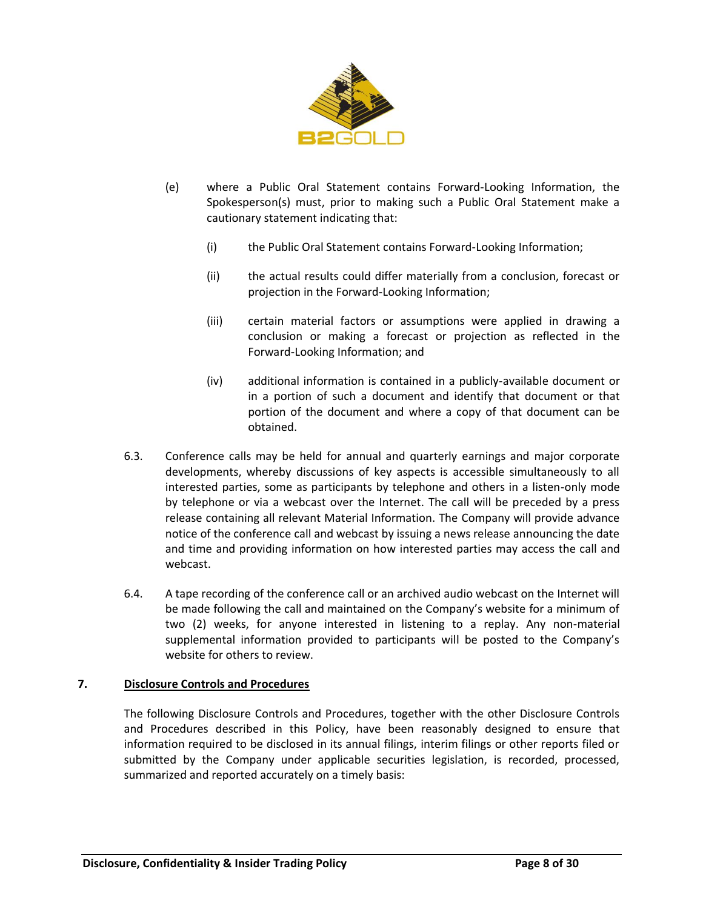

- (e) where a Public Oral Statement contains Forward-Looking Information, the Spokesperson(s) must, prior to making such a Public Oral Statement make a cautionary statement indicating that:
	- (i) the Public Oral Statement contains Forward-Looking Information;
	- (ii) the actual results could differ materially from a conclusion, forecast or projection in the Forward-Looking Information;
	- (iii) certain material factors or assumptions were applied in drawing a conclusion or making a forecast or projection as reflected in the Forward-Looking Information; and
	- (iv) additional information is contained in a publicly-available document or in a portion of such a document and identify that document or that portion of the document and where a copy of that document can be obtained.
- 6.3. Conference calls may be held for annual and quarterly earnings and major corporate developments, whereby discussions of key aspects is accessible simultaneously to all interested parties, some as participants by telephone and others in a listen-only mode by telephone or via a webcast over the Internet. The call will be preceded by a press release containing all relevant Material Information. The Company will provide advance notice of the conference call and webcast by issuing a news release announcing the date and time and providing information on how interested parties may access the call and webcast.
- 6.4. A tape recording of the conference call or an archived audio webcast on the Internet will be made following the call and maintained on the Company's website for a minimum of two (2) weeks, for anyone interested in listening to a replay. Any non-material supplemental information provided to participants will be posted to the Company's website for others to review.

## **7. Disclosure Controls and Procedures**

The following Disclosure Controls and Procedures, together with the other Disclosure Controls and Procedures described in this Policy, have been reasonably designed to ensure that information required to be disclosed in its annual filings, interim filings or other reports filed or submitted by the Company under applicable securities legislation, is recorded, processed, summarized and reported accurately on a timely basis: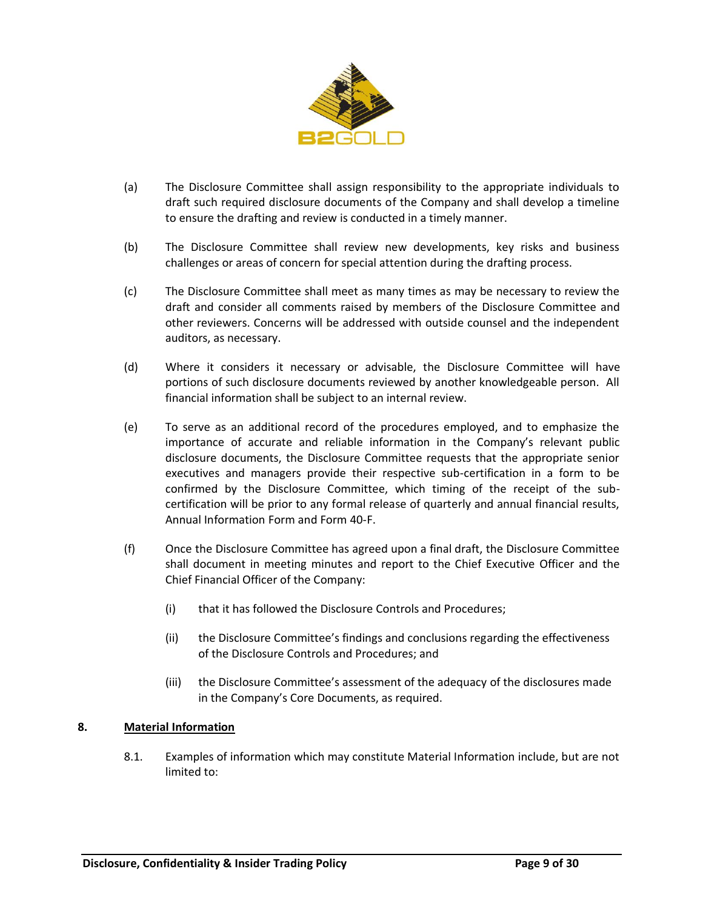

- (a) The Disclosure Committee shall assign responsibility to the appropriate individuals to draft such required disclosure documents of the Company and shall develop a timeline to ensure the drafting and review is conducted in a timely manner.
- (b) The Disclosure Committee shall review new developments, key risks and business challenges or areas of concern for special attention during the drafting process.
- (c) The Disclosure Committee shall meet as many times as may be necessary to review the draft and consider all comments raised by members of the Disclosure Committee and other reviewers. Concerns will be addressed with outside counsel and the independent auditors, as necessary.
- (d) Where it considers it necessary or advisable, the Disclosure Committee will have portions of such disclosure documents reviewed by another knowledgeable person. All financial information shall be subject to an internal review.
- (e) To serve as an additional record of the procedures employed, and to emphasize the importance of accurate and reliable information in the Company's relevant public disclosure documents, the Disclosure Committee requests that the appropriate senior executives and managers provide their respective sub-certification in a form to be confirmed by the Disclosure Committee, which timing of the receipt of the subcertification will be prior to any formal release of quarterly and annual financial results, Annual Information Form and Form 40-F.
- (f) Once the Disclosure Committee has agreed upon a final draft, the Disclosure Committee shall document in meeting minutes and report to the Chief Executive Officer and the Chief Financial Officer of the Company:
	- (i) that it has followed the Disclosure Controls and Procedures;
	- (ii) the Disclosure Committee's findings and conclusions regarding the effectiveness of the Disclosure Controls and Procedures; and
	- (iii) the Disclosure Committee's assessment of the adequacy of the disclosures made in the Company's Core Documents, as required.

## **8. Material Information**

8.1. Examples of information which may constitute Material Information include, but are not limited to: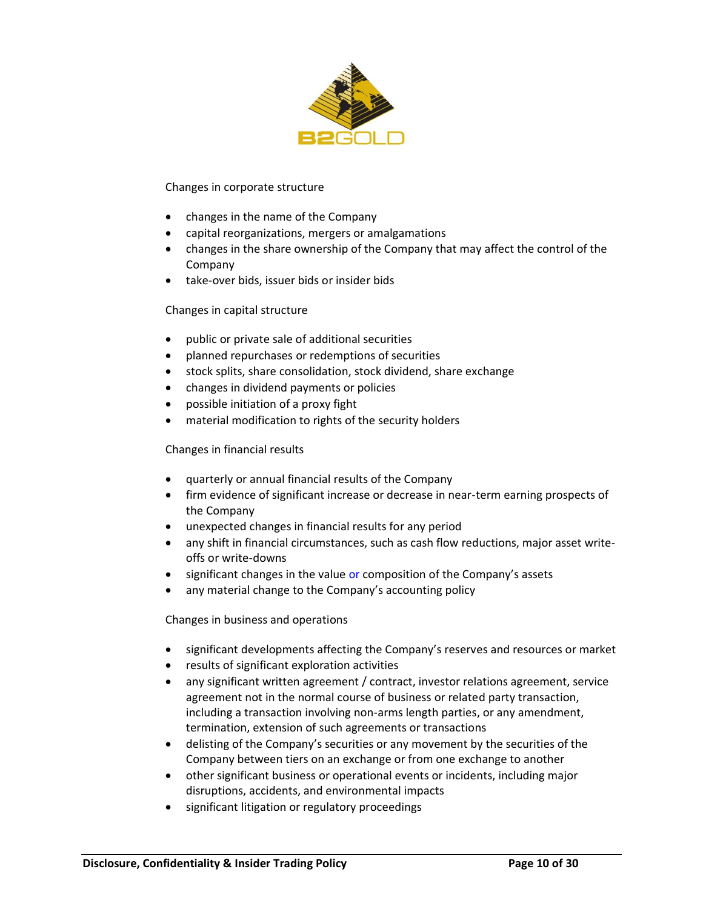

#### Changes in corporate structure

- changes in the name of the Company
- capital reorganizations, mergers or amalgamations
- changes in the share ownership of the Company that may affect the control of the Company
- take-over bids, issuer bids or insider bids

#### Changes in capital structure

- public or private sale of additional securities
- planned repurchases or redemptions of securities
- stock splits, share consolidation, stock dividend, share exchange
- changes in dividend payments or policies
- possible initiation of a proxy fight
- material modification to rights of the security holders

### Changes in financial results

- quarterly or annual financial results of the Company
- firm evidence of significant increase or decrease in near-term earning prospects of the Company
- unexpected changes in financial results for any period
- any shift in financial circumstances, such as cash flow reductions, major asset writeoffs or write-downs
- significant changes in the value or composition of the Company's assets
- any material change to the Company's accounting policy

Changes in business and operations

- significant developments affecting the Company's reserves and resources or market
- results of significant exploration activities
- any significant written agreement / contract, investor relations agreement, service agreement not in the normal course of business or related party transaction, including a transaction involving non-arms length parties, or any amendment, termination, extension of such agreements or transactions
- delisting of the Company's securities or any movement by the securities of the Company between tiers on an exchange or from one exchange to another
- other significant business or operational events or incidents, including major disruptions, accidents, and environmental impacts
- significant litigation or regulatory proceedings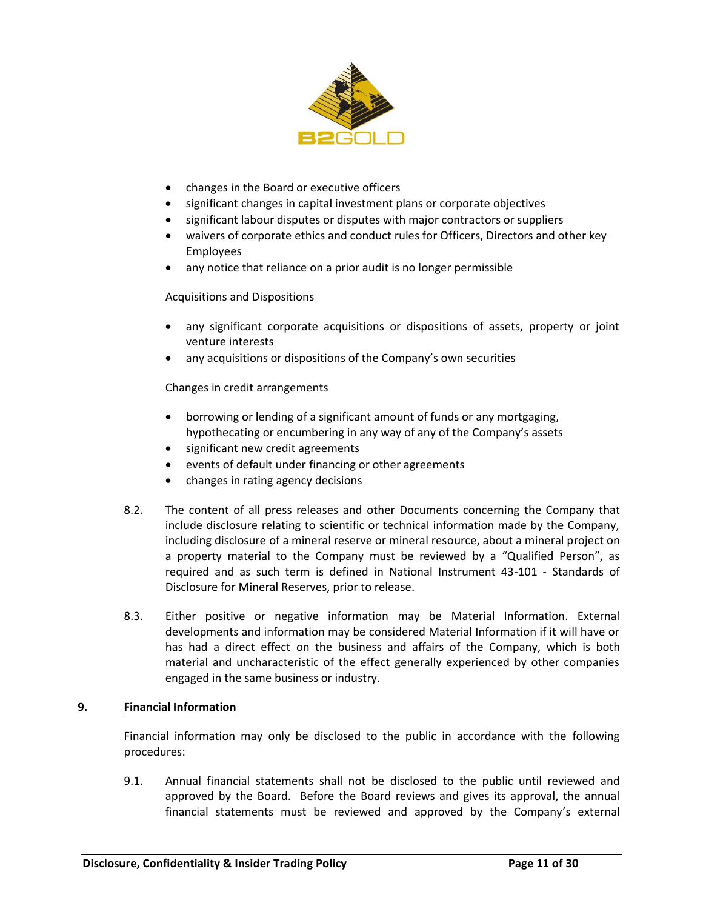

- changes in the Board or executive officers
- significant changes in capital investment plans or corporate objectives
- significant labour disputes or disputes with major contractors or suppliers
- waivers of corporate ethics and conduct rules for Officers, Directors and other key Employees
- any notice that reliance on a prior audit is no longer permissible

Acquisitions and Dispositions

- any significant corporate acquisitions or dispositions of assets, property or joint venture interests
- any acquisitions or dispositions of the Company's own securities

Changes in credit arrangements

- borrowing or lending of a significant amount of funds or any mortgaging, hypothecating or encumbering in any way of any of the Company's assets
- significant new credit agreements
- events of default under financing or other agreements
- changes in rating agency decisions
- 8.2. The content of all press releases and other Documents concerning the Company that include disclosure relating to scientific or technical information made by the Company, including disclosure of a mineral reserve or mineral resource, about a mineral project on a property material to the Company must be reviewed by a "Qualified Person", as required and as such term is defined in National Instrument 43-101 - Standards of Disclosure for Mineral Reserves, prior to release.
- 8.3. Either positive or negative information may be Material Information. External developments and information may be considered Material Information if it will have or has had a direct effect on the business and affairs of the Company, which is both material and uncharacteristic of the effect generally experienced by other companies engaged in the same business or industry.

## **9. Financial Information**

Financial information may only be disclosed to the public in accordance with the following procedures:

9.1. Annual financial statements shall not be disclosed to the public until reviewed and approved by the Board. Before the Board reviews and gives its approval, the annual financial statements must be reviewed and approved by the Company's external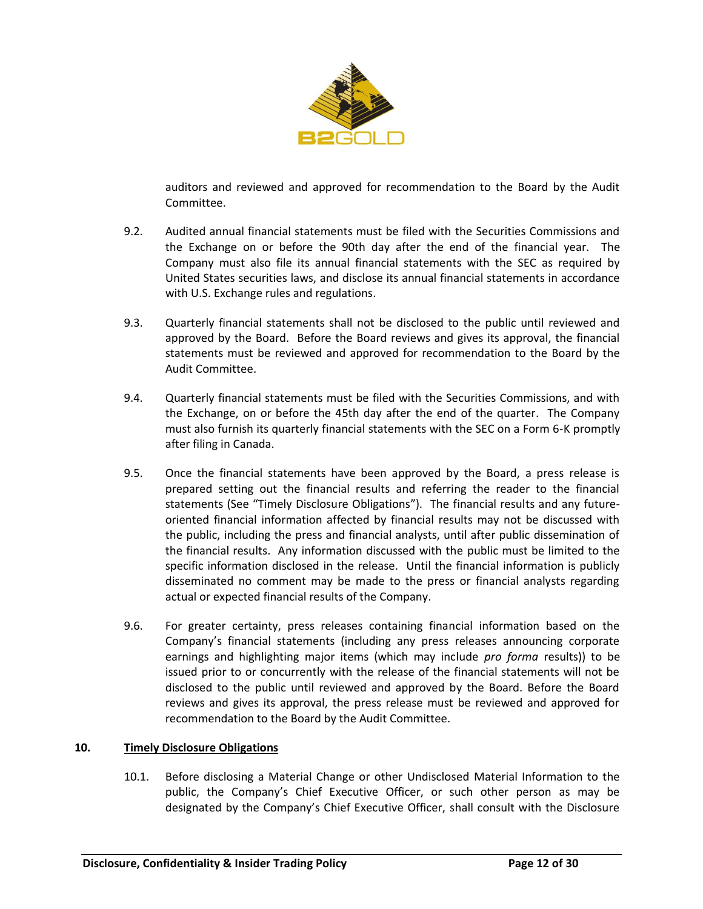

auditors and reviewed and approved for recommendation to the Board by the Audit Committee.

- 9.2. Audited annual financial statements must be filed with the Securities Commissions and the Exchange on or before the 90th day after the end of the financial year. The Company must also file its annual financial statements with the SEC as required by United States securities laws, and disclose its annual financial statements in accordance with U.S. Exchange rules and regulations.
- 9.3. Quarterly financial statements shall not be disclosed to the public until reviewed and approved by the Board. Before the Board reviews and gives its approval, the financial statements must be reviewed and approved for recommendation to the Board by the Audit Committee.
- 9.4. Quarterly financial statements must be filed with the Securities Commissions, and with the Exchange, on or before the 45th day after the end of the quarter. The Company must also furnish its quarterly financial statements with the SEC on a Form 6-K promptly after filing in Canada.
- 9.5. Once the financial statements have been approved by the Board, a press release is prepared setting out the financial results and referring the reader to the financial statements (See "Timely Disclosure Obligations"). The financial results and any futureoriented financial information affected by financial results may not be discussed with the public, including the press and financial analysts, until after public dissemination of the financial results. Any information discussed with the public must be limited to the specific information disclosed in the release. Until the financial information is publicly disseminated no comment may be made to the press or financial analysts regarding actual or expected financial results of the Company.
- <span id="page-11-0"></span>9.6. For greater certainty, press releases containing financial information based on the Company's financial statements (including any press releases announcing corporate earnings and highlighting major items (which may include *pro forma* results)) to be issued prior to or concurrently with the release of the financial statements will not be disclosed to the public until reviewed and approved by the Board. Before the Board reviews and gives its approval, the press release must be reviewed and approved for recommendation to the Board by the Audit Committee.

#### **10. Timely Disclosure Obligations**

10.1. Before disclosing a Material Change or other Undisclosed Material Information to the public, the Company's Chief Executive Officer, or such other person as may be designated by the Company's Chief Executive Officer, shall consult with the Disclosure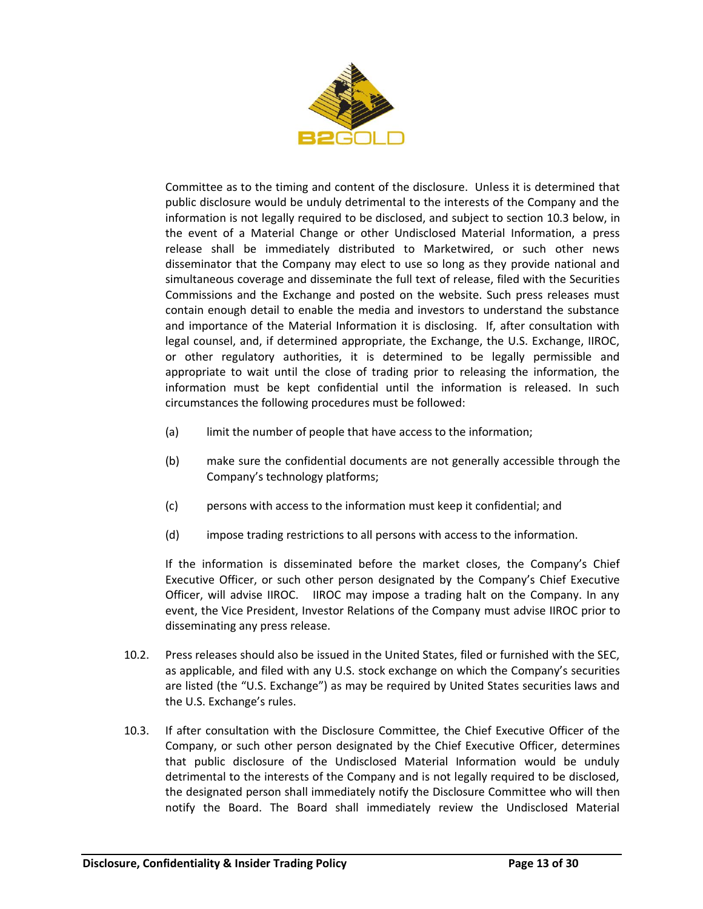

Committee as to the timing and content of the disclosure. Unless it is determined that public disclosure would be unduly detrimental to the interests of the Company and the information is not legally required to be disclosed, and subject to section [10.3](#page-12-0) below, in the event of a Material Change or other Undisclosed Material Information, a press release shall be immediately distributed to Marketwired, or such other news disseminator that the Company may elect to use so long as they provide national and simultaneous coverage and disseminate the full text of release, filed with the Securities Commissions and the Exchange and posted on the website. Such press releases must contain enough detail to enable the media and investors to understand the substance and importance of the Material Information it is disclosing. If, after consultation with legal counsel, and, if determined appropriate, the Exchange, the U.S. Exchange, IIROC, or other regulatory authorities, it is determined to be legally permissible and appropriate to wait until the close of trading prior to releasing the information, the information must be kept confidential until the information is released. In such circumstances the following procedures must be followed:

- (a) limit the number of people that have access to the information;
- (b) make sure the confidential documents are not generally accessible through the Company's technology platforms;
- (c) persons with access to the information must keep it confidential; and
- (d) impose trading restrictions to all persons with access to the information.

If the information is disseminated before the market closes, the Company's Chief Executive Officer, or such other person designated by the Company's Chief Executive Officer, will advise IIROC. IIROC may impose a trading halt on the Company. In any event, the Vice President, Investor Relations of the Company must advise IIROC prior to disseminating any press release.

- 10.2. Press releases should also be issued in the United States, filed or furnished with the SEC, as applicable, and filed with any U.S. stock exchange on which the Company's securities are listed (the "U.S. Exchange") as may be required by United States securities laws and the U.S. Exchange's rules.
- <span id="page-12-0"></span>10.3. If after consultation with the Disclosure Committee, the Chief Executive Officer of the Company, or such other person designated by the Chief Executive Officer, determines that public disclosure of the Undisclosed Material Information would be unduly detrimental to the interests of the Company and is not legally required to be disclosed, the designated person shall immediately notify the Disclosure Committee who will then notify the Board. The Board shall immediately review the Undisclosed Material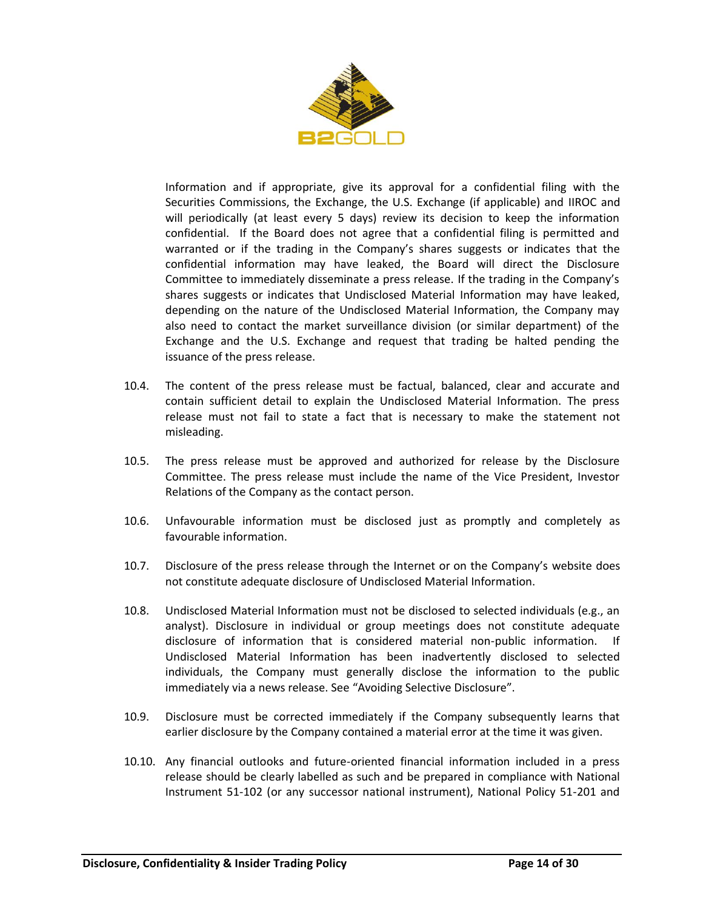

Information and if appropriate, give its approval for a confidential filing with the Securities Commissions, the Exchange, the U.S. Exchange (if applicable) and IIROC and will periodically (at least every 5 days) review its decision to keep the information confidential. If the Board does not agree that a confidential filing is permitted and warranted or if the trading in the Company's shares suggests or indicates that the confidential information may have leaked, the Board will direct the Disclosure Committee to immediately disseminate a press release. If the trading in the Company's shares suggests or indicates that Undisclosed Material Information may have leaked, depending on the nature of the Undisclosed Material Information, the Company may also need to contact the market surveillance division (or similar department) of the Exchange and the U.S. Exchange and request that trading be halted pending the issuance of the press release.

- 10.4. The content of the press release must be factual, balanced, clear and accurate and contain sufficient detail to explain the Undisclosed Material Information. The press release must not fail to state a fact that is necessary to make the statement not misleading.
- 10.5. The press release must be approved and authorized for release by the Disclosure Committee. The press release must include the name of the Vice President, Investor Relations of the Company as the contact person.
- 10.6. Unfavourable information must be disclosed just as promptly and completely as favourable information.
- 10.7. Disclosure of the press release through the Internet or on the Company's website does not constitute adequate disclosure of Undisclosed Material Information.
- 10.8. Undisclosed Material Information must not be disclosed to selected individuals (e.g., an analyst). Disclosure in individual or group meetings does not constitute adequate disclosure of information that is considered material non-public information. If Undisclosed Material Information has been inadvertently disclosed to selected individuals, the Company must generally disclose the information to the public immediately via a news release. See "Avoiding Selective Disclosure".
- 10.9. Disclosure must be corrected immediately if the Company subsequently learns that earlier disclosure by the Company contained a material error at the time it was given.
- 10.10. Any financial outlooks and future-oriented financial information included in a press release should be clearly labelled as such and be prepared in compliance with National Instrument 51-102 (or any successor national instrument), National Policy 51-201 and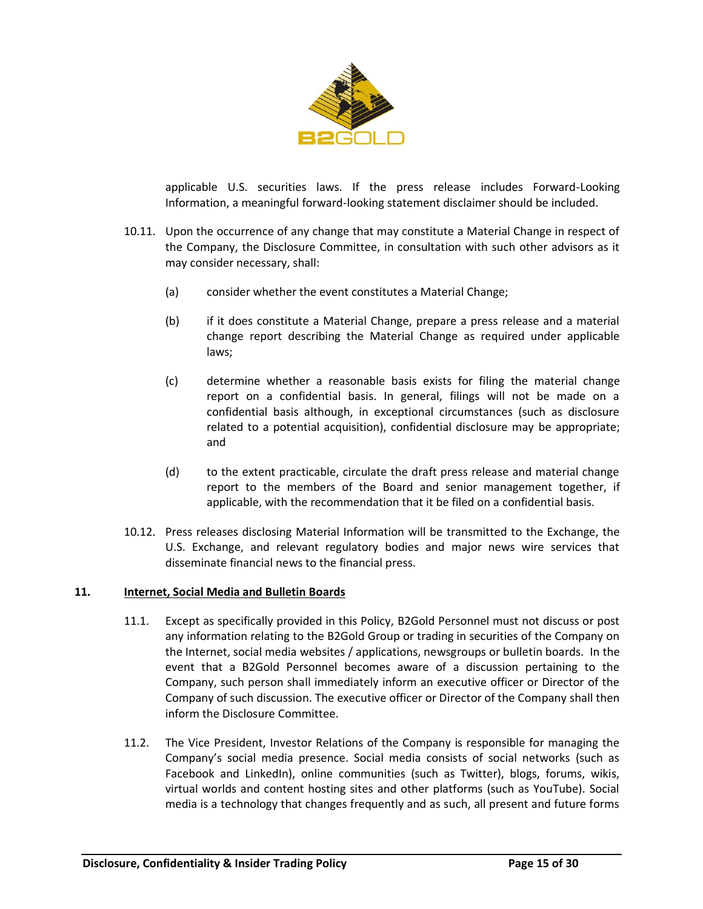

applicable U.S. securities laws. If the press release includes Forward-Looking Information, a meaningful forward-looking statement disclaimer should be included.

- 10.11. Upon the occurrence of any change that may constitute a Material Change in respect of the Company, the Disclosure Committee, in consultation with such other advisors as it may consider necessary, shall:
	- (a) consider whether the event constitutes a Material Change;
	- (b) if it does constitute a Material Change, prepare a press release and a material change report describing the Material Change as required under applicable laws;
	- (c) determine whether a reasonable basis exists for filing the material change report on a confidential basis. In general, filings will not be made on a confidential basis although, in exceptional circumstances (such as disclosure related to a potential acquisition), confidential disclosure may be appropriate; and
	- (d) to the extent practicable, circulate the draft press release and material change report to the members of the Board and senior management together, if applicable, with the recommendation that it be filed on a confidential basis.
- 10.12. Press releases disclosing Material Information will be transmitted to the Exchange, the U.S. Exchange, and relevant regulatory bodies and major news wire services that disseminate financial news to the financial press.

#### **11. Internet, Social Media and Bulletin Boards**

- 11.1. Except as specifically provided in this Policy, B2Gold Personnel must not discuss or post any information relating to the B2Gold Group or trading in securities of the Company on the Internet, social media websites / applications, newsgroups or bulletin boards. In the event that a B2Gold Personnel becomes aware of a discussion pertaining to the Company, such person shall immediately inform an executive officer or Director of the Company of such discussion. The executive officer or Director of the Company shall then inform the Disclosure Committee.
- 11.2. The Vice President, Investor Relations of the Company is responsible for managing the Company's social media presence. Social media consists of social networks (such as Facebook and LinkedIn), online communities (such as Twitter), blogs, forums, wikis, virtual worlds and content hosting sites and other platforms (such as YouTube). Social media is a technology that changes frequently and as such, all present and future forms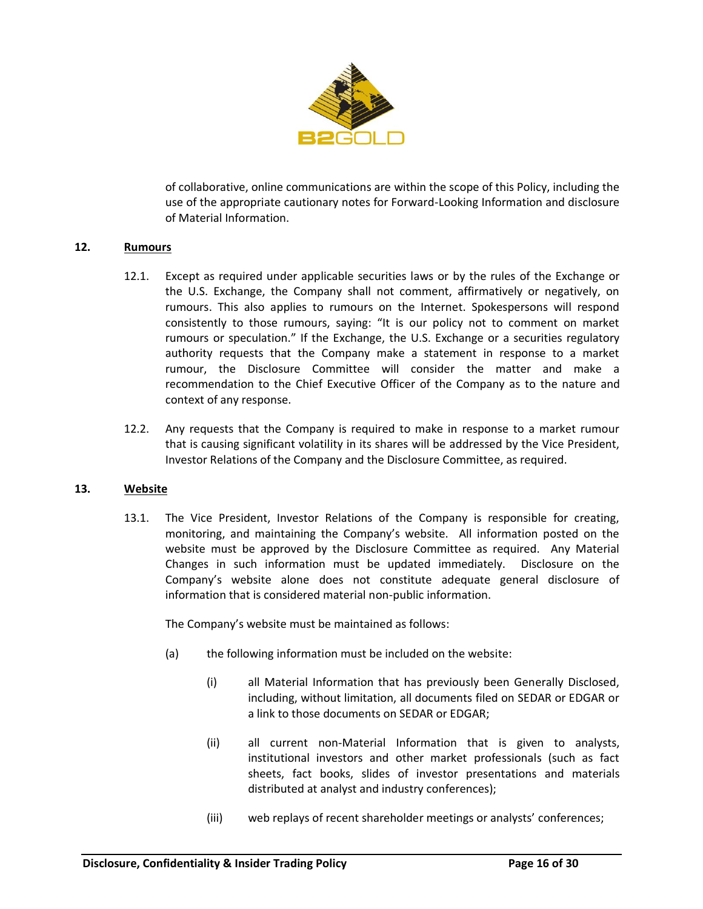

of collaborative, online communications are within the scope of this Policy, including the use of the appropriate cautionary notes for Forward-Looking Information and disclosure of Material Information.

### **12. Rumours**

- 12.1. Except as required under applicable securities laws or by the rules of the Exchange or the U.S. Exchange, the Company shall not comment, affirmatively or negatively, on rumours. This also applies to rumours on the Internet. Spokespersons will respond consistently to those rumours, saying: "It is our policy not to comment on market rumours or speculation." If the Exchange, the U.S. Exchange or a securities regulatory authority requests that the Company make a statement in response to a market rumour, the Disclosure Committee will consider the matter and make a recommendation to the Chief Executive Officer of the Company as to the nature and context of any response.
- 12.2. Any requests that the Company is required to make in response to a market rumour that is causing significant volatility in its shares will be addressed by the Vice President, Investor Relations of the Company and the Disclosure Committee, as required.

#### **13. Website**

13.1. The Vice President, Investor Relations of the Company is responsible for creating, monitoring, and maintaining the Company's website. All information posted on the website must be approved by the Disclosure Committee as required. Any Material Changes in such information must be updated immediately. Disclosure on the Company's website alone does not constitute adequate general disclosure of information that is considered material non-public information.

The Company's website must be maintained as follows:

- (a) the following information must be included on the website:
	- (i) all Material Information that has previously been Generally Disclosed, including, without limitation, all documents filed on SEDAR or EDGAR or a link to those documents on SEDAR or EDGAR;
	- (ii) all current non-Material Information that is given to analysts, institutional investors and other market professionals (such as fact sheets, fact books, slides of investor presentations and materials distributed at analyst and industry conferences);
	- (iii) web replays of recent shareholder meetings or analysts' conferences;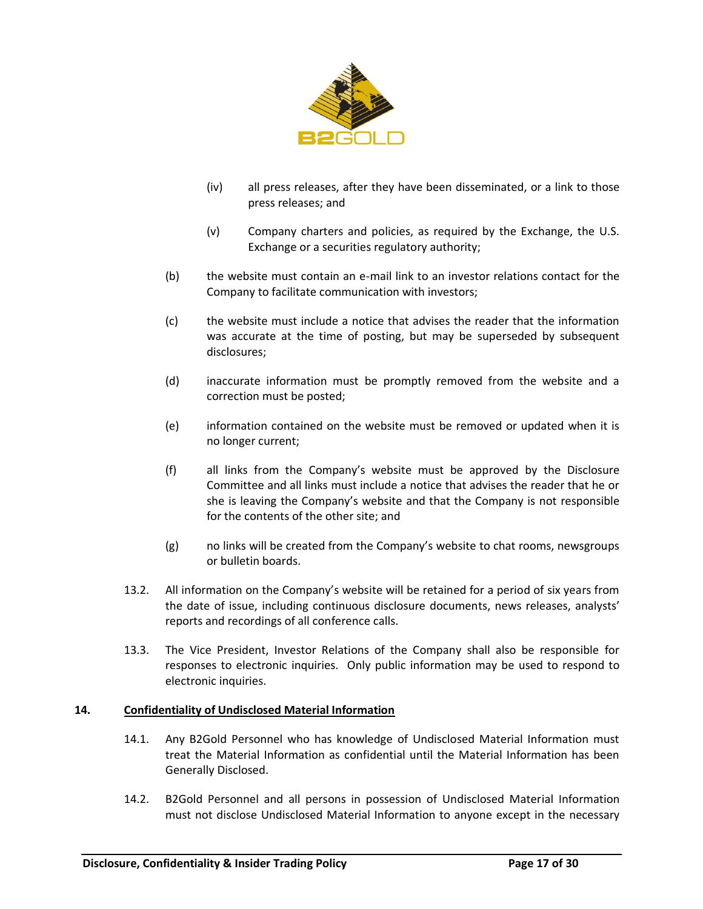

- (iv) all press releases, after they have been disseminated, or a link to those press releases; and
- (v) Company charters and policies, as required by the Exchange, the U.S. Exchange or a securities regulatory authority;
- (b) the website must contain an e-mail link to an investor relations contact for the Company to facilitate communication with investors;
- (c) the website must include a notice that advises the reader that the information was accurate at the time of posting, but may be superseded by subsequent disclosures;
- (d) inaccurate information must be promptly removed from the website and a correction must be posted;
- (e) information contained on the website must be removed or updated when it is no longer current;
- (f) all links from the Company's website must be approved by the Disclosure Committee and all links must include a notice that advises the reader that he or she is leaving the Company's website and that the Company is not responsible for the contents of the other site; and
- (g) no links will be created from the Company's website to chat rooms, newsgroups or bulletin boards.
- 13.2. All information on the Company's website will be retained for a period of six years from the date of issue, including continuous disclosure documents, news releases, analysts' reports and recordings of all conference calls.
- 13.3. The Vice President, Investor Relations of the Company shall also be responsible for responses to electronic inquiries. Only public information may be used to respond to electronic inquiries.

#### **14. Confidentiality of Undisclosed Material Information**

- 14.1. Any B2Gold Personnel who has knowledge of Undisclosed Material Information must treat the Material Information as confidential until the Material Information has been Generally Disclosed.
- 14.2. B2Gold Personnel and all persons in possession of Undisclosed Material Information must not disclose Undisclosed Material Information to anyone except in the necessary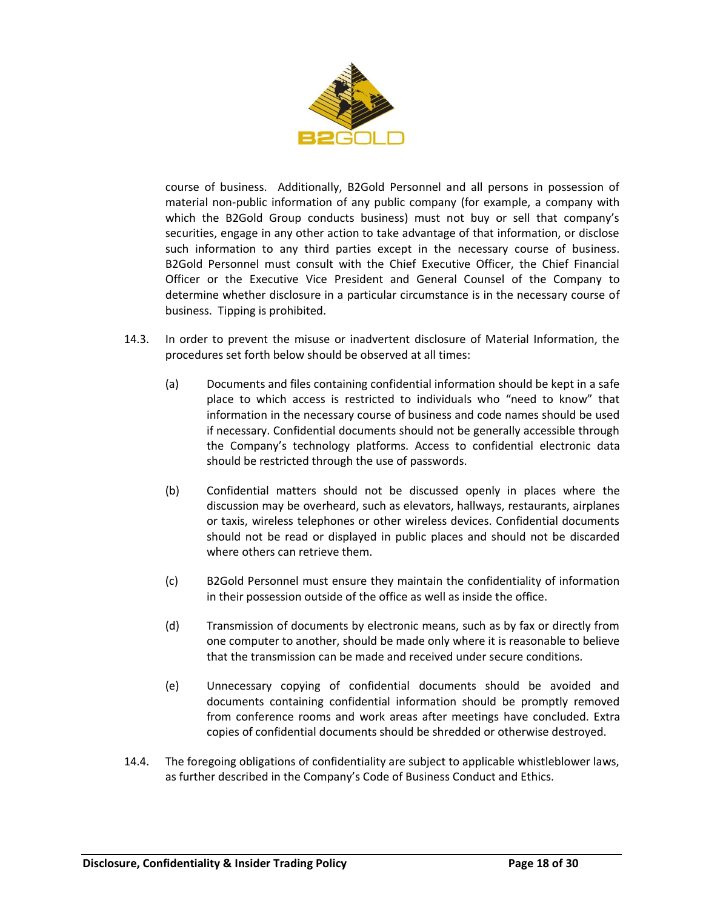

course of business. Additionally, B2Gold Personnel and all persons in possession of material non-public information of any public company (for example, a company with which the B2Gold Group conducts business) must not buy or sell that company's securities, engage in any other action to take advantage of that information, or disclose such information to any third parties except in the necessary course of business. B2Gold Personnel must consult with the Chief Executive Officer, the Chief Financial Officer or the Executive Vice President and General Counsel of the Company to determine whether disclosure in a particular circumstance is in the necessary course of business. Tipping is prohibited.

- 14.3. In order to prevent the misuse or inadvertent disclosure of Material Information, the procedures set forth below should be observed at all times:
	- (a) Documents and files containing confidential information should be kept in a safe place to which access is restricted to individuals who "need to know" that information in the necessary course of business and code names should be used if necessary. Confidential documents should not be generally accessible through the Company's technology platforms. Access to confidential electronic data should be restricted through the use of passwords.
	- (b) Confidential matters should not be discussed openly in places where the discussion may be overheard, such as elevators, hallways, restaurants, airplanes or taxis, wireless telephones or other wireless devices. Confidential documents should not be read or displayed in public places and should not be discarded where others can retrieve them.
	- (c) B2Gold Personnel must ensure they maintain the confidentiality of information in their possession outside of the office as well as inside the office.
	- (d) Transmission of documents by electronic means, such as by fax or directly from one computer to another, should be made only where it is reasonable to believe that the transmission can be made and received under secure conditions.
	- (e) Unnecessary copying of confidential documents should be avoided and documents containing confidential information should be promptly removed from conference rooms and work areas after meetings have concluded. Extra copies of confidential documents should be shredded or otherwise destroyed.
- 14.4. The foregoing obligations of confidentiality are subject to applicable whistleblower laws, as further described in the Company's Code of Business Conduct and Ethics.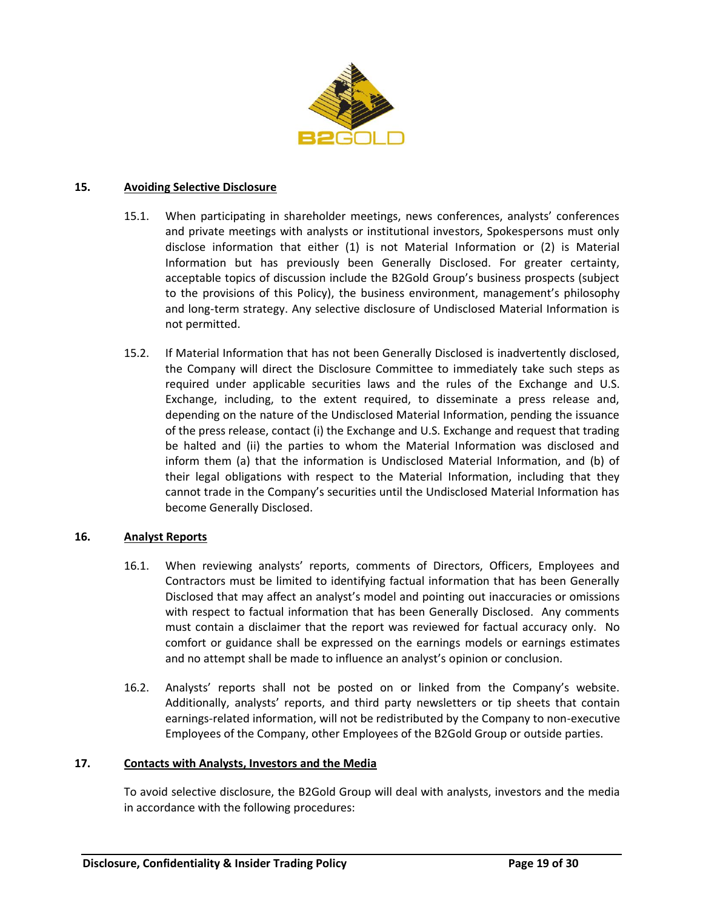

#### **15. Avoiding Selective Disclosure**

- 15.1. When participating in shareholder meetings, news conferences, analysts' conferences and private meetings with analysts or institutional investors, Spokespersons must only disclose information that either (1) is not Material Information or (2) is Material Information but has previously been Generally Disclosed. For greater certainty, acceptable topics of discussion include the B2Gold Group's business prospects (subject to the provisions of this Policy), the business environment, management's philosophy and long-term strategy. Any selective disclosure of Undisclosed Material Information is not permitted.
- 15.2. If Material Information that has not been Generally Disclosed is inadvertently disclosed, the Company will direct the Disclosure Committee to immediately take such steps as required under applicable securities laws and the rules of the Exchange and U.S. Exchange, including, to the extent required, to disseminate a press release and, depending on the nature of the Undisclosed Material Information, pending the issuance of the press release, contact (i) the Exchange and U.S. Exchange and request that trading be halted and (ii) the parties to whom the Material Information was disclosed and inform them (a) that the information is Undisclosed Material Information, and (b) of their legal obligations with respect to the Material Information, including that they cannot trade in the Company's securities until the Undisclosed Material Information has become Generally Disclosed.

#### **16. Analyst Reports**

- 16.1. When reviewing analysts' reports, comments of Directors, Officers, Employees and Contractors must be limited to identifying factual information that has been Generally Disclosed that may affect an analyst's model and pointing out inaccuracies or omissions with respect to factual information that has been Generally Disclosed. Any comments must contain a disclaimer that the report was reviewed for factual accuracy only. No comfort or guidance shall be expressed on the earnings models or earnings estimates and no attempt shall be made to influence an analyst's opinion or conclusion.
- 16.2. Analysts' reports shall not be posted on or linked from the Company's website. Additionally, analysts' reports, and third party newsletters or tip sheets that contain earnings-related information, will not be redistributed by the Company to non-executive Employees of the Company, other Employees of the B2Gold Group or outside parties.

#### **17. Contacts with Analysts, Investors and the Media**

To avoid selective disclosure, the B2Gold Group will deal with analysts, investors and the media in accordance with the following procedures: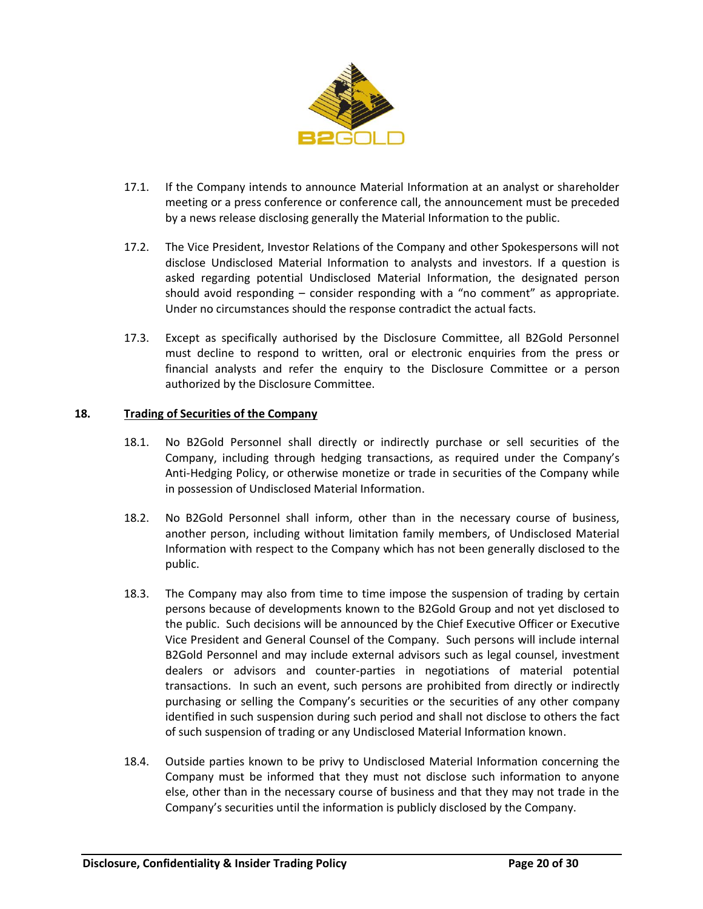

- 17.1. If the Company intends to announce Material Information at an analyst or shareholder meeting or a press conference or conference call, the announcement must be preceded by a news release disclosing generally the Material Information to the public.
- 17.2. The Vice President, Investor Relations of the Company and other Spokespersons will not disclose Undisclosed Material Information to analysts and investors. If a question is asked regarding potential Undisclosed Material Information, the designated person should avoid responding – consider responding with a "no comment" as appropriate. Under no circumstances should the response contradict the actual facts.
- 17.3. Except as specifically authorised by the Disclosure Committee, all B2Gold Personnel must decline to respond to written, oral or electronic enquiries from the press or financial analysts and refer the enquiry to the Disclosure Committee or a person authorized by the Disclosure Committee.

## **18. Trading of Securities of the Company**

- 18.1. No B2Gold Personnel shall directly or indirectly purchase or sell securities of the Company, including through hedging transactions, as required under the Company's Anti-Hedging Policy, or otherwise monetize or trade in securities of the Company while in possession of Undisclosed Material Information.
- 18.2. No B2Gold Personnel shall inform, other than in the necessary course of business, another person, including without limitation family members, of Undisclosed Material Information with respect to the Company which has not been generally disclosed to the public.
- <span id="page-19-0"></span>18.3. The Company may also from time to time impose the suspension of trading by certain persons because of developments known to the B2Gold Group and not yet disclosed to the public. Such decisions will be announced by the Chief Executive Officer or Executive Vice President and General Counsel of the Company. Such persons will include internal B2Gold Personnel and may include external advisors such as legal counsel, investment dealers or advisors and counter-parties in negotiations of material potential transactions. In such an event, such persons are prohibited from directly or indirectly purchasing or selling the Company's securities or the securities of any other company identified in such suspension during such period and shall not disclose to others the fact of such suspension of trading or any Undisclosed Material Information known.
- 18.4. Outside parties known to be privy to Undisclosed Material Information concerning the Company must be informed that they must not disclose such information to anyone else, other than in the necessary course of business and that they may not trade in the Company's securities until the information is publicly disclosed by the Company.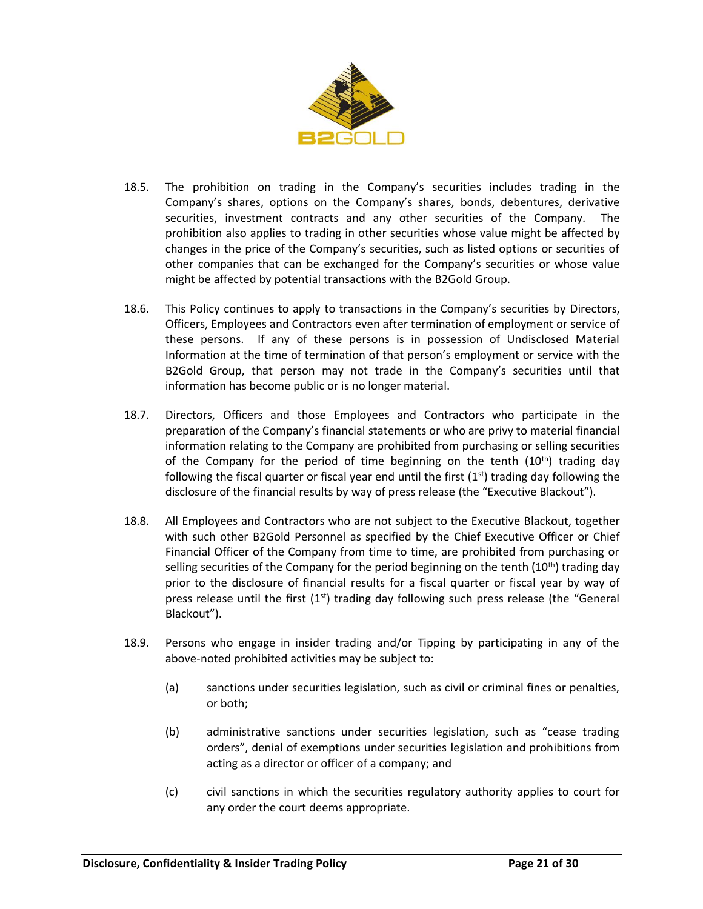

- 18.5. The prohibition on trading in the Company's securities includes trading in the Company's shares, options on the Company's shares, bonds, debentures, derivative securities, investment contracts and any other securities of the Company. The prohibition also applies to trading in other securities whose value might be affected by changes in the price of the Company's securities, such as listed options or securities of other companies that can be exchanged for the Company's securities or whose value might be affected by potential transactions with the B2Gold Group.
- 18.6. This Policy continues to apply to transactions in the Company's securities by Directors, Officers, Employees and Contractors even after termination of employment or service of these persons. If any of these persons is in possession of Undisclosed Material Information at the time of termination of that person's employment or service with the B2Gold Group, that person may not trade in the Company's securities until that information has become public or is no longer material.
- <span id="page-20-0"></span>18.7. Directors, Officers and those Employees and Contractors who participate in the preparation of the Company's financial statements or who are privy to material financial information relating to the Company are prohibited from purchasing or selling securities of the Company for the period of time beginning on the tenth  $(10<sup>th</sup>)$  trading day following the fiscal quarter or fiscal year end until the first  $(1<sup>st</sup>)$  trading day following the disclosure of the financial results by way of press release (the "Executive Blackout").
- <span id="page-20-1"></span>18.8. All Employees and Contractors who are not subject to the Executive Blackout, together with such other B2Gold Personnel as specified by the Chief Executive Officer or Chief Financial Officer of the Company from time to time, are prohibited from purchasing or selling securities of the Company for the period beginning on the tenth  $(10<sup>th</sup>)$  trading day prior to the disclosure of financial results for a fiscal quarter or fiscal year by way of press release until the first  $(1<sup>st</sup>)$  trading day following such press release (the "General Blackout").
- 18.9. Persons who engage in insider trading and/or Tipping by participating in any of the above-noted prohibited activities may be subject to:
	- (a) sanctions under securities legislation, such as civil or criminal fines or penalties, or both;
	- (b) administrative sanctions under securities legislation, such as "cease trading orders", denial of exemptions under securities legislation and prohibitions from acting as a director or officer of a company; and
	- (c) civil sanctions in which the securities regulatory authority applies to court for any order the court deems appropriate.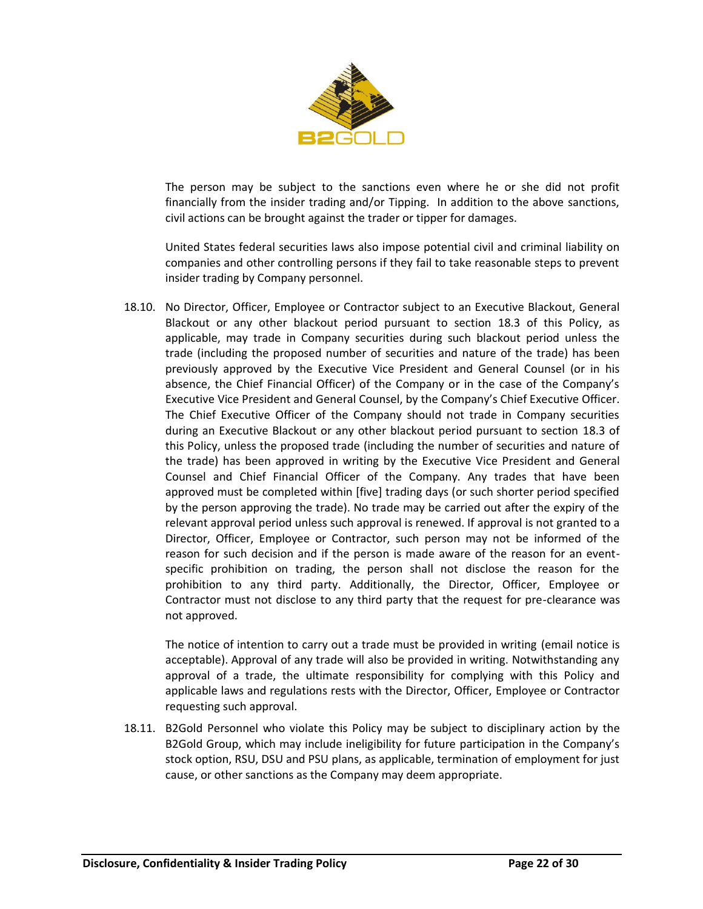

The person may be subject to the sanctions even where he or she did not profit financially from the insider trading and/or Tipping. In addition to the above sanctions, civil actions can be brought against the trader or tipper for damages.

United States federal securities laws also impose potential civil and criminal liability on companies and other controlling persons if they fail to take reasonable steps to prevent insider trading by Company personnel.

18.10. No Director, Officer, Employee or Contractor subject to an Executive Blackout, General Blackout or any other blackout period pursuant to section [18.3](#page-19-0) of this Policy, as applicable, may trade in Company securities during such blackout period unless the trade (including the proposed number of securities and nature of the trade) has been previously approved by the Executive Vice President and General Counsel (or in his absence, the Chief Financial Officer) of the Company or in the case of the Company's Executive Vice President and General Counsel, by the Company's Chief Executive Officer. The Chief Executive Officer of the Company should not trade in Company securities during an Executive Blackout or any other blackout period pursuant to section [18.3](#page-19-0) of this Policy, unless the proposed trade (including the number of securities and nature of the trade) has been approved in writing by the Executive Vice President and General Counsel and Chief Financial Officer of the Company. Any trades that have been approved must be completed within [five] trading days (or such shorter period specified by the person approving the trade). No trade may be carried out after the expiry of the relevant approval period unless such approval is renewed. If approval is not granted to a Director, Officer, Employee or Contractor, such person may not be informed of the reason for such decision and if the person is made aware of the reason for an eventspecific prohibition on trading, the person shall not disclose the reason for the prohibition to any third party. Additionally, the Director, Officer, Employee or Contractor must not disclose to any third party that the request for pre-clearance was not approved.

The notice of intention to carry out a trade must be provided in writing (email notice is acceptable). Approval of any trade will also be provided in writing. Notwithstanding any approval of a trade, the ultimate responsibility for complying with this Policy and applicable laws and regulations rests with the Director, Officer, Employee or Contractor requesting such approval.

18.11. B2Gold Personnel who violate this Policy may be subject to disciplinary action by the B2Gold Group, which may include ineligibility for future participation in the Company's stock option, RSU, DSU and PSU plans, as applicable, termination of employment for just cause, or other sanctions as the Company may deem appropriate.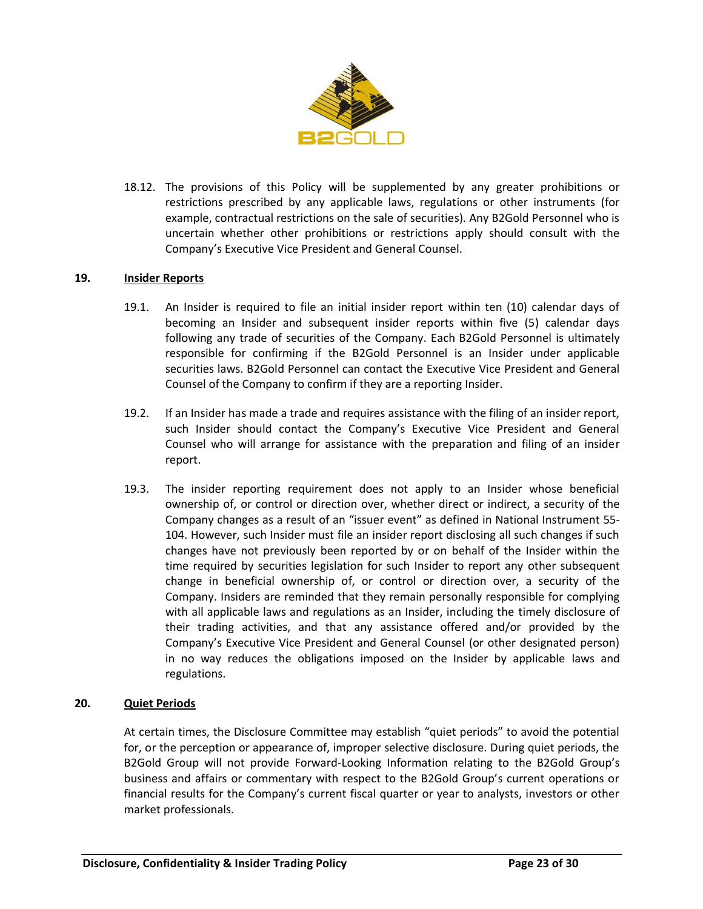

18.12. The provisions of this Policy will be supplemented by any greater prohibitions or restrictions prescribed by any applicable laws, regulations or other instruments (for example, contractual restrictions on the sale of securities). Any B2Gold Personnel who is uncertain whether other prohibitions or restrictions apply should consult with the Company's Executive Vice President and General Counsel.

#### **19. Insider Reports**

- 19.1. An Insider is required to file an initial insider report within ten (10) calendar days of becoming an Insider and subsequent insider reports within five (5) calendar days following any trade of securities of the Company. Each B2Gold Personnel is ultimately responsible for confirming if the B2Gold Personnel is an Insider under applicable securities laws. B2Gold Personnel can contact the Executive Vice President and General Counsel of the Company to confirm if they are a reporting Insider.
- 19.2. If an Insider has made a trade and requires assistance with the filing of an insider report, such Insider should contact the Company's Executive Vice President and General Counsel who will arrange for assistance with the preparation and filing of an insider report.
- 19.3. The insider reporting requirement does not apply to an Insider whose beneficial ownership of, or control or direction over, whether direct or indirect, a security of the Company changes as a result of an "issuer event" as defined in National Instrument 55- 104. However, such Insider must file an insider report disclosing all such changes if such changes have not previously been reported by or on behalf of the Insider within the time required by securities legislation for such Insider to report any other subsequent change in beneficial ownership of, or control or direction over, a security of the Company. Insiders are reminded that they remain personally responsible for complying with all applicable laws and regulations as an Insider, including the timely disclosure of their trading activities, and that any assistance offered and/or provided by the Company's Executive Vice President and General Counsel (or other designated person) in no way reduces the obligations imposed on the Insider by applicable laws and regulations.

## **20. Quiet Periods**

At certain times, the Disclosure Committee may establish "quiet periods" to avoid the potential for, or the perception or appearance of, improper selective disclosure. During quiet periods, the B2Gold Group will not provide Forward-Looking Information relating to the B2Gold Group's business and affairs or commentary with respect to the B2Gold Group's current operations or financial results for the Company's current fiscal quarter or year to analysts, investors or other market professionals.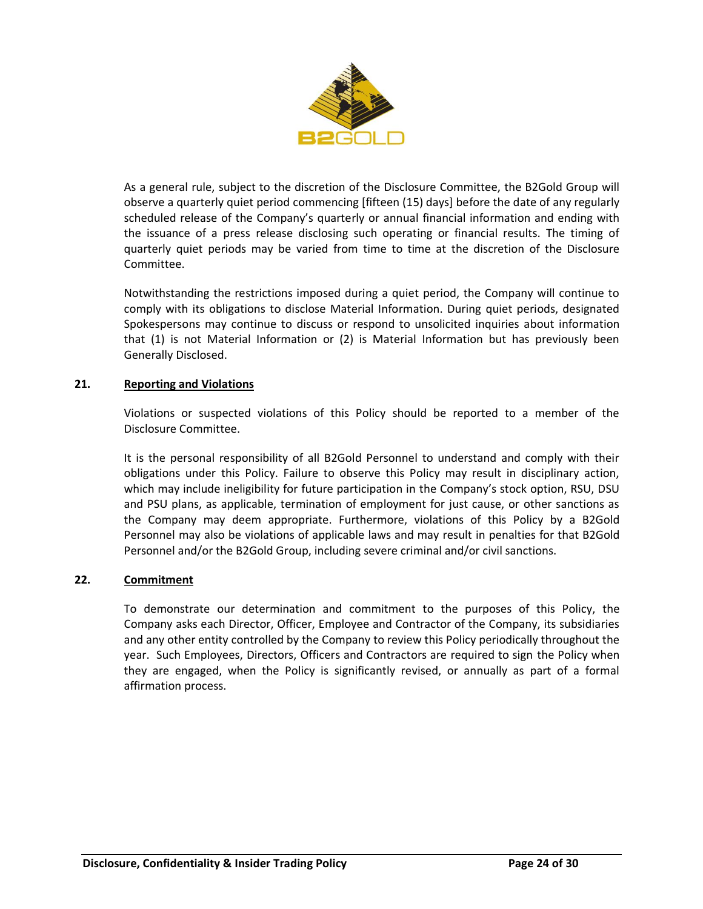

As a general rule, subject to the discretion of the Disclosure Committee, the B2Gold Group will observe a quarterly quiet period commencing [fifteen (15) days] before the date of any regularly scheduled release of the Company's quarterly or annual financial information and ending with the issuance of a press release disclosing such operating or financial results. The timing of quarterly quiet periods may be varied from time to time at the discretion of the Disclosure Committee.

Notwithstanding the restrictions imposed during a quiet period, the Company will continue to comply with its obligations to disclose Material Information. During quiet periods, designated Spokespersons may continue to discuss or respond to unsolicited inquiries about information that (1) is not Material Information or (2) is Material Information but has previously been Generally Disclosed.

## **21. Reporting and Violations**

Violations or suspected violations of this Policy should be reported to a member of the Disclosure Committee.

It is the personal responsibility of all B2Gold Personnel to understand and comply with their obligations under this Policy. Failure to observe this Policy may result in disciplinary action, which may include ineligibility for future participation in the Company's stock option, RSU, DSU and PSU plans, as applicable, termination of employment for just cause, or other sanctions as the Company may deem appropriate. Furthermore, violations of this Policy by a B2Gold Personnel may also be violations of applicable laws and may result in penalties for that B2Gold Personnel and/or the B2Gold Group, including severe criminal and/or civil sanctions.

#### **22. Commitment**

To demonstrate our determination and commitment to the purposes of this Policy, the Company asks each Director, Officer, Employee and Contractor of the Company, its subsidiaries and any other entity controlled by the Company to review this Policy periodically throughout the year. Such Employees, Directors, Officers and Contractors are required to sign the Policy when they are engaged, when the Policy is significantly revised, or annually as part of a formal affirmation process.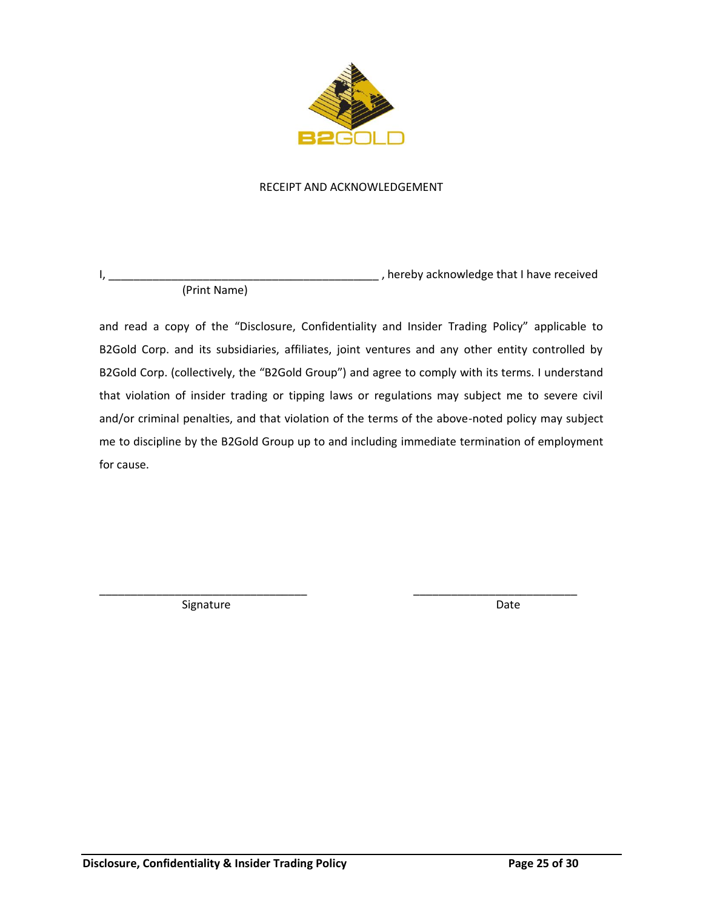

### RECEIPT AND ACKNOWLEDGEMENT

I, \_\_\_\_\_\_\_\_\_\_\_\_\_\_\_\_\_\_\_\_\_\_\_\_\_\_\_\_\_\_\_\_\_\_\_\_\_\_\_\_\_\_\_ , hereby acknowledge that I have received (Print Name)

and read a copy of the "Disclosure, Confidentiality and Insider Trading Policy" applicable to B2Gold Corp. and its subsidiaries, affiliates, joint ventures and any other entity controlled by B2Gold Corp. (collectively, the "B2Gold Group") and agree to comply with its terms. I understand that violation of insider trading or tipping laws or regulations may subject me to severe civil and/or criminal penalties, and that violation of the terms of the above-noted policy may subject me to discipline by the B2Gold Group up to and including immediate termination of employment for cause.

\_\_\_\_\_\_\_\_\_\_\_\_\_\_\_\_\_\_\_\_\_\_\_\_\_\_\_\_\_\_\_\_\_ \_\_\_\_\_\_\_\_\_\_\_\_\_\_\_\_\_\_\_\_\_\_\_\_\_\_

Signature Date Date Date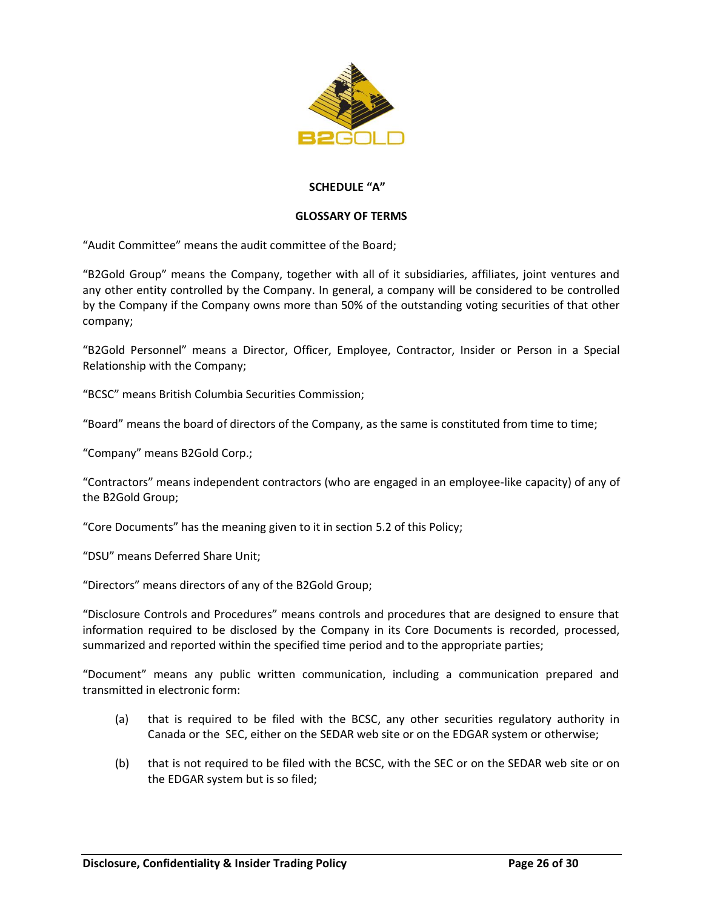

## **SCHEDULE "A"**

#### **GLOSSARY OF TERMS**

"Audit Committee" means the audit committee of the Board;

"B2Gold Group" means the Company, together with all of it subsidiaries, affiliates, joint ventures and any other entity controlled by the Company. In general, a company will be considered to be controlled by the Company if the Company owns more than 50% of the outstanding voting securities of that other company;

"B2Gold Personnel" means a Director, Officer, Employee, Contractor, Insider or Person in a Special Relationship with the Company;

"BCSC" means British Columbia Securities Commission;

"Board" means the board of directors of the Company, as the same is constituted from time to time;

"Company" means B2Gold Corp.;

"Contractors" means independent contractors (who are engaged in an employee-like capacity) of any of the B2Gold Group;

"Core Documents" has the meaning given to it in section [5.2](#page-4-2) of this Policy;

"DSU" means Deferred Share Unit;

"Directors" means directors of any of the B2Gold Group;

"Disclosure Controls and Procedures" means controls and procedures that are designed to ensure that information required to be disclosed by the Company in its Core Documents is recorded, processed, summarized and reported within the specified time period and to the appropriate parties;

"Document" means any public written communication, including a communication prepared and transmitted in electronic form:

- (a) that is required to be filed with the BCSC, any other securities regulatory authority in Canada or the SEC, either on the SEDAR web site or on the EDGAR system or otherwise;
- (b) that is not required to be filed with the BCSC, with the SEC or on the SEDAR web site or on the EDGAR system but is so filed;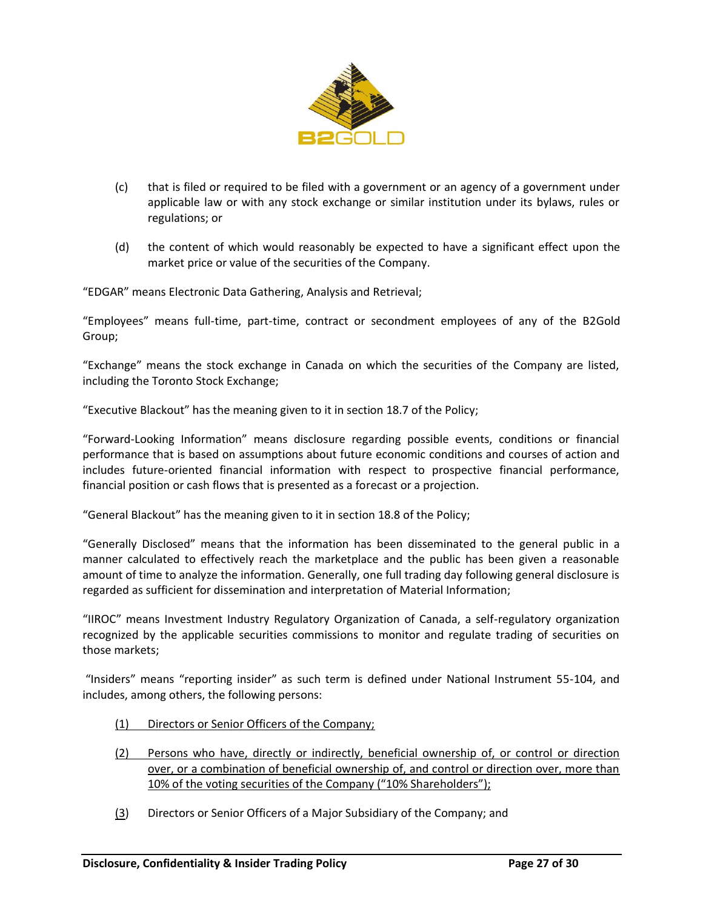

- (c) that is filed or required to be filed with a government or an agency of a government under applicable law or with any stock exchange or similar institution under its bylaws, rules or regulations; or
- (d) the content of which would reasonably be expected to have a significant effect upon the market price or value of the securities of the Company.

"EDGAR" means Electronic Data Gathering, Analysis and Retrieval;

"Employees" means full-time, part-time, contract or secondment employees of any of the B2Gold Group;

"Exchange" means the stock exchange in Canada on which the securities of the Company are listed, including the Toronto Stock Exchange;

"Executive Blackout" has the meaning given to it in section [18.7](#page-20-0) of the Policy;

"Forward-Looking Information" means disclosure regarding possible events, conditions or financial performance that is based on assumptions about future economic conditions and courses of action and includes future-oriented financial information with respect to prospective financial performance, financial position or cash flows that is presented as a forecast or a projection.

"General Blackout" has the meaning given to it in section [18.8](#page-20-1) of the Policy;

"Generally Disclosed" means that the information has been disseminated to the general public in a manner calculated to effectively reach the marketplace and the public has been given a reasonable amount of time to analyze the information. Generally, one full trading day following general disclosure is regarded as sufficient for dissemination and interpretation of Material Information;

"IIROC" means Investment Industry Regulatory Organization of Canada, a self-regulatory organization recognized by the applicable securities commissions to monitor and regulate trading of securities on those markets;

"Insiders" means "reporting insider" as such term is defined under National Instrument 55-104, and includes, among others, the following persons:

- (1) Directors or Senior Officers of the Company;
- (2) Persons who have, directly or indirectly, beneficial ownership of, or control or direction over, or a combination of beneficial ownership of, and control or direction over, more than 10% of the voting securities of the Company ("10% Shareholders");
- (3) Directors or Senior Officers of a Major Subsidiary of the Company; and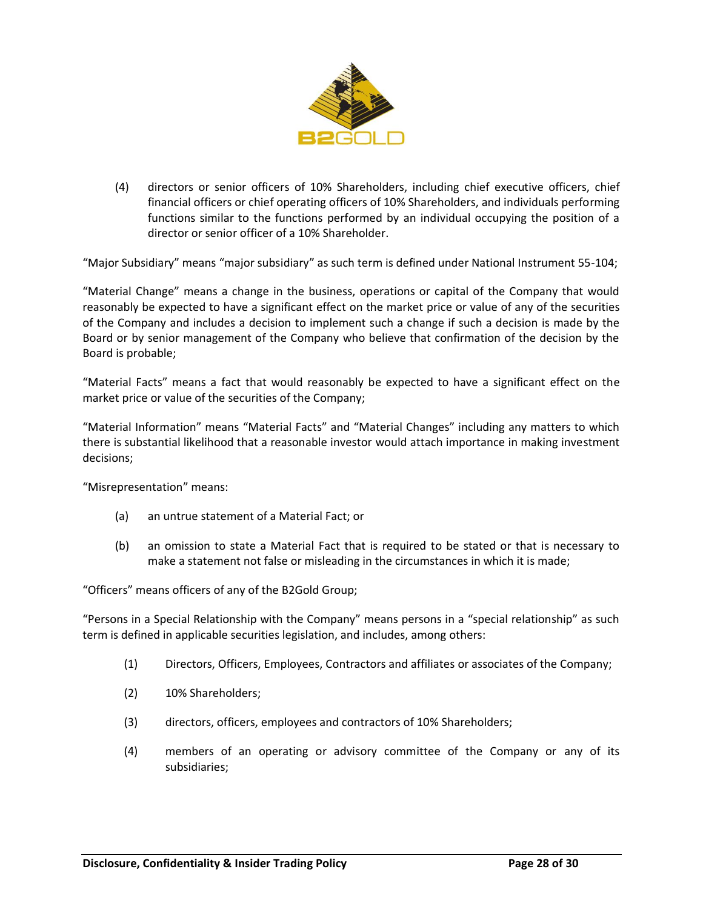

(4) directors or senior officers of 10% Shareholders, including chief executive officers, chief financial officers or chief operating officers of 10% Shareholders, and individuals performing functions similar to the functions performed by an individual occupying the position of a director or senior officer of a 10% Shareholder.

"Major Subsidiary" means "major subsidiary" as such term is defined under National Instrument 55-104;

"Material Change" means a change in the business, operations or capital of the Company that would reasonably be expected to have a significant effect on the market price or value of any of the securities of the Company and includes a decision to implement such a change if such a decision is made by the Board or by senior management of the Company who believe that confirmation of the decision by the Board is probable;

"Material Facts" means a fact that would reasonably be expected to have a significant effect on the market price or value of the securities of the Company;

"Material Information" means "Material Facts" and "Material Changes" including any matters to which there is substantial likelihood that a reasonable investor would attach importance in making investment decisions;

"Misrepresentation" means:

- (a) an untrue statement of a Material Fact; or
- (b) an omission to state a Material Fact that is required to be stated or that is necessary to make a statement not false or misleading in the circumstances in which it is made;

"Officers" means officers of any of the B2Gold Group;

"Persons in a Special Relationship with the Company" means persons in a "special relationship" as such term is defined in applicable securities legislation, and includes, among others:

- (1) Directors, Officers, Employees, Contractors and affiliates or associates of the Company;
- (2) 10% Shareholders;
- (3) directors, officers, employees and contractors of 10% Shareholders;
- (4) members of an operating or advisory committee of the Company or any of its subsidiaries;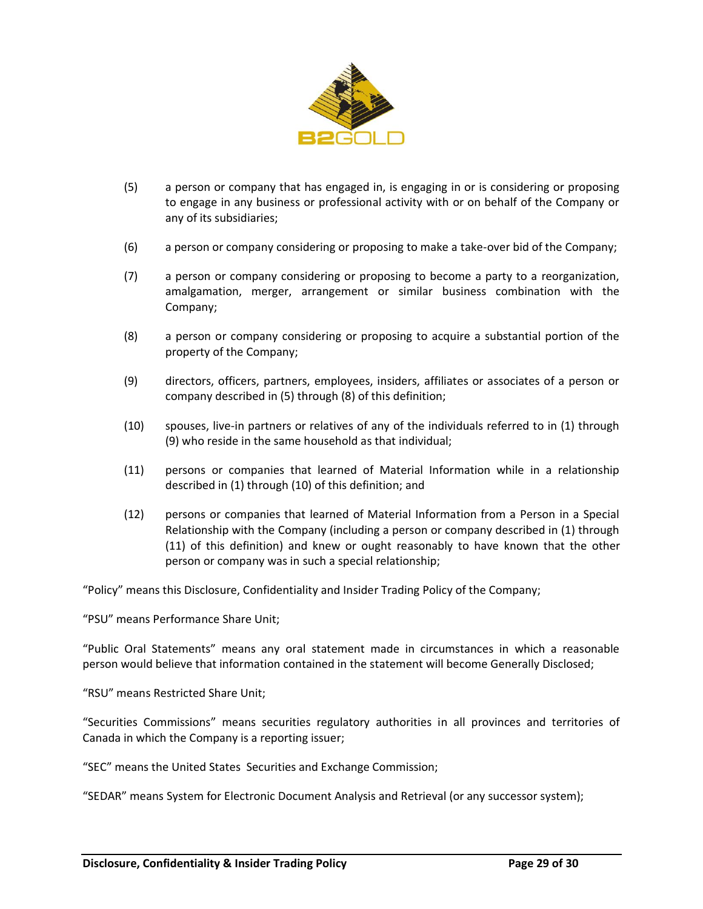

- (5) a person or company that has engaged in, is engaging in or is considering or proposing to engage in any business or professional activity with or on behalf of the Company or any of its subsidiaries;
- (6) a person or company considering or proposing to make a take-over bid of the Company;
- (7) a person or company considering or proposing to become a party to a reorganization, amalgamation, merger, arrangement or similar business combination with the Company;
- (8) a person or company considering or proposing to acquire a substantial portion of the property of the Company;
- (9) directors, officers, partners, employees, insiders, affiliates or associates of a person or company described in (5) through (8) of this definition;
- (10) spouses, live-in partners or relatives of any of the individuals referred to in (1) through (9) who reside in the same household as that individual;
- (11) persons or companies that learned of Material Information while in a relationship described in (1) through (10) of this definition; and
- (12) persons or companies that learned of Material Information from a Person in a Special Relationship with the Company (including a person or company described in (1) through (11) of this definition) and knew or ought reasonably to have known that the other person or company was in such a special relationship;

"Policy" means this Disclosure, Confidentiality and Insider Trading Policy of the Company;

"PSU" means Performance Share Unit;

"Public Oral Statements" means any oral statement made in circumstances in which a reasonable person would believe that information contained in the statement will become Generally Disclosed;

"RSU" means Restricted Share Unit;

"Securities Commissions" means securities regulatory authorities in all provinces and territories of Canada in which the Company is a reporting issuer;

"SEC" means the United States Securities and Exchange Commission;

"SEDAR" means System for Electronic Document Analysis and Retrieval (or any successor system);